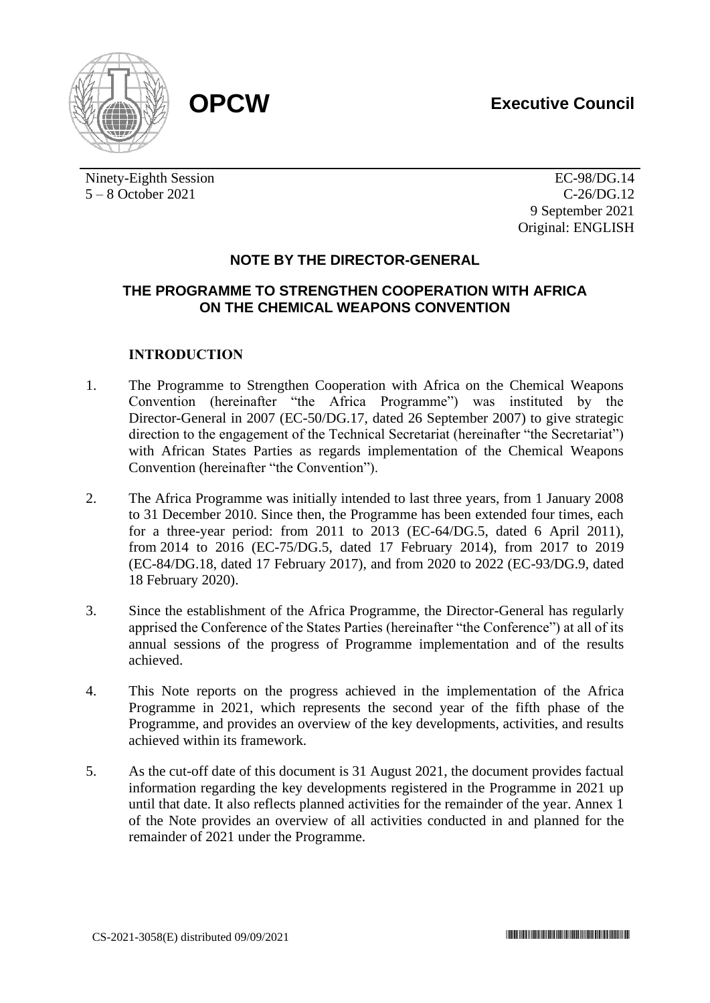

Ninety-Eighth Session 5 – 8 October 2021

EC-98/DG.14 C-26/DG.12 9 September 2021 Original: ENGLISH

# **NOTE BY THE DIRECTOR-GENERAL**

# **THE PROGRAMME TO STRENGTHEN COOPERATION WITH AFRICA ON THE CHEMICAL WEAPONS CONVENTION**

# **INTRODUCTION**

- 1. The Programme to Strengthen Cooperation with Africa on the Chemical Weapons Convention (hereinafter "the Africa Programme") was instituted by the Director-General in 2007 (EC-50/DG.17, dated 26 September 2007) to give strategic direction to the engagement of the Technical Secretariat (hereinafter "the Secretariat") with African States Parties as regards implementation of the Chemical Weapons Convention (hereinafter "the Convention").
- 2. The Africa Programme was initially intended to last three years, from 1 January 2008 to 31 December 2010. Since then, the Programme has been extended four times, each for a three-year period: from 2011 to 2013 (EC-64/DG.5, dated 6 April 2011), from 2014 to 2016 (EC-75/DG.5, dated 17 February 2014), from 2017 to 2019 (EC-84/DG.18, dated 17 February 2017), and from 2020 to 2022 (EC-93/DG.9, dated 18 February 2020).
- 3. Since the establishment of the Africa Programme, the Director-General has regularly apprised the Conference of the States Parties (hereinafter "the Conference") at all of its annual sessions of the progress of Programme implementation and of the results achieved.
- 4. This Note reports on the progress achieved in the implementation of the Africa Programme in 2021, which represents the second year of the fifth phase of the Programme, and provides an overview of the key developments, activities, and results achieved within its framework.
- 5. As the cut-off date of this document is 31 August 2021, the document provides factual information regarding the key developments registered in the Programme in 2021 up until that date. It also reflects planned activities for the remainder of the year. Annex 1 of the Note provides an overview of all activities conducted in and planned for the remainder of 2021 under the Programme.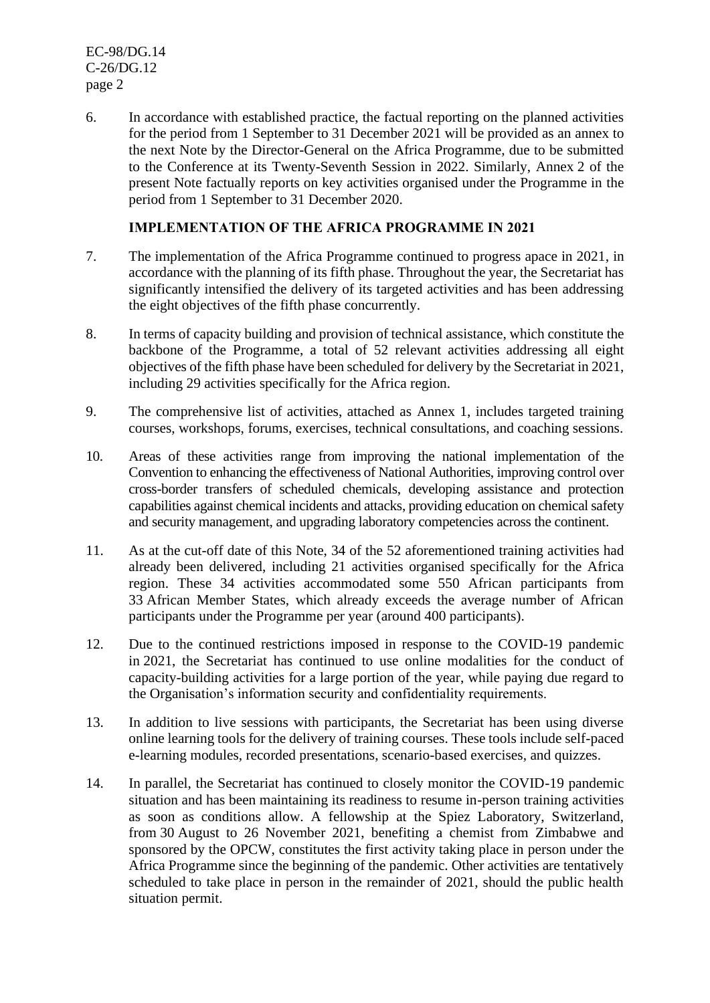EC-98/DG.14 C-26/DG.12 page 2

6. In accordance with established practice, the factual reporting on the planned activities for the period from 1 September to 31 December 2021 will be provided as an annex to the next Note by the Director-General on the Africa Programme, due to be submitted to the Conference at its Twenty-Seventh Session in 2022. Similarly, Annex 2 of the present Note factually reports on key activities organised under the Programme in the period from 1 September to 31 December 2020.

# **IMPLEMENTATION OF THE AFRICA PROGRAMME IN 2021**

- 7. The implementation of the Africa Programme continued to progress apace in 2021, in accordance with the planning of its fifth phase. Throughout the year, the Secretariat has significantly intensified the delivery of its targeted activities and has been addressing the eight objectives of the fifth phase concurrently.
- 8. In terms of capacity building and provision of technical assistance, which constitute the backbone of the Programme, a total of 52 relevant activities addressing all eight objectives of the fifth phase have been scheduled for delivery by the Secretariat in 2021, including 29 activities specifically for the Africa region.
- 9. The comprehensive list of activities, attached as Annex 1, includes targeted training courses, workshops, forums, exercises, technical consultations, and coaching sessions.
- 10. Areas of these activities range from improving the national implementation of the Convention to enhancing the effectiveness of National Authorities, improving control over cross-border transfers of scheduled chemicals, developing assistance and protection capabilities against chemical incidents and attacks, providing education on chemical safety and security management, and upgrading laboratory competencies across the continent.
- 11. As at the cut-off date of this Note, 34 of the 52 aforementioned training activities had already been delivered, including 21 activities organised specifically for the Africa region. These 34 activities accommodated some 550 African participants from 33 African Member States, which already exceeds the average number of African participants under the Programme per year (around 400 participants).
- 12. Due to the continued restrictions imposed in response to the COVID-19 pandemic in 2021, the Secretariat has continued to use online modalities for the conduct of capacity-building activities for a large portion of the year, while paying due regard to the Organisation's information security and confidentiality requirements.
- 13. In addition to live sessions with participants, the Secretariat has been using diverse online learning tools for the delivery of training courses. These tools include self-paced e-learning modules, recorded presentations, scenario-based exercises, and quizzes.
- 14. In parallel, the Secretariat has continued to closely monitor the COVID-19 pandemic situation and has been maintaining its readiness to resume in-person training activities as soon as conditions allow. A fellowship at the Spiez Laboratory, Switzerland, from 30 August to 26 November 2021, benefiting a chemist from Zimbabwe and sponsored by the OPCW, constitutes the first activity taking place in person under the Africa Programme since the beginning of the pandemic. Other activities are tentatively scheduled to take place in person in the remainder of 2021, should the public health situation permit.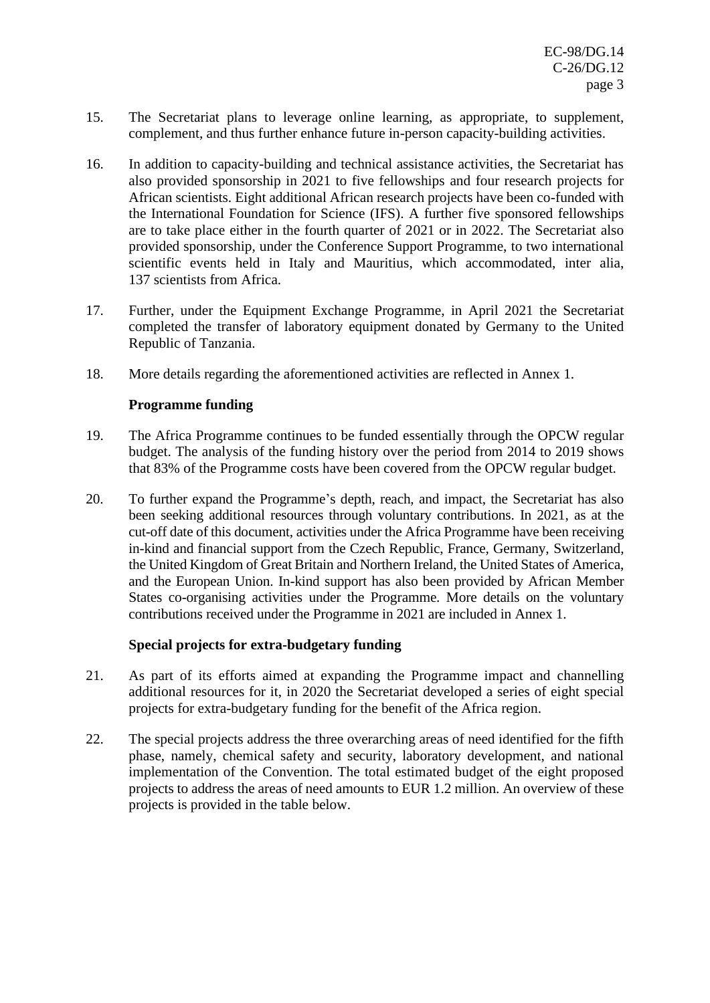- 15. The Secretariat plans to leverage online learning, as appropriate, to supplement, complement, and thus further enhance future in-person capacity-building activities.
- 16. In addition to capacity-building and technical assistance activities, the Secretariat has also provided sponsorship in 2021 to five fellowships and four research projects for African scientists. Eight additional African research projects have been co-funded with the International Foundation for Science (IFS). A further five sponsored fellowships are to take place either in the fourth quarter of 2021 or in 2022. The Secretariat also provided sponsorship, under the Conference Support Programme, to two international scientific events held in Italy and Mauritius, which accommodated, inter alia, 137 scientists from Africa.
- 17. Further, under the Equipment Exchange Programme, in April 2021 the Secretariat completed the transfer of laboratory equipment donated by Germany to the United Republic of Tanzania.
- 18. More details regarding the aforementioned activities are reflected in Annex 1.

# **Programme funding**

- 19. The Africa Programme continues to be funded essentially through the OPCW regular budget. The analysis of the funding history over the period from 2014 to 2019 shows that 83% of the Programme costs have been covered from the OPCW regular budget.
- 20. To further expand the Programme's depth, reach, and impact, the Secretariat has also been seeking additional resources through voluntary contributions. In 2021, as at the cut-off date of this document, activities under the Africa Programme have been receiving in-kind and financial support from the Czech Republic, France, Germany, Switzerland, the United Kingdom of Great Britain and Northern Ireland, the United States of America, and the European Union. In-kind support has also been provided by African Member States co-organising activities under the Programme. More details on the voluntary contributions received under the Programme in 2021 are included in Annex 1.

# **Special projects for extra-budgetary funding**

- 21. As part of its efforts aimed at expanding the Programme impact and channelling additional resources for it, in 2020 the Secretariat developed a series of eight special projects for extra-budgetary funding for the benefit of the Africa region.
- 22. The special projects address the three overarching areas of need identified for the fifth phase, namely, chemical safety and security, laboratory development, and national implementation of the Convention. The total estimated budget of the eight proposed projects to address the areas of need amounts to EUR 1.2 million. An overview of these projects is provided in the table below.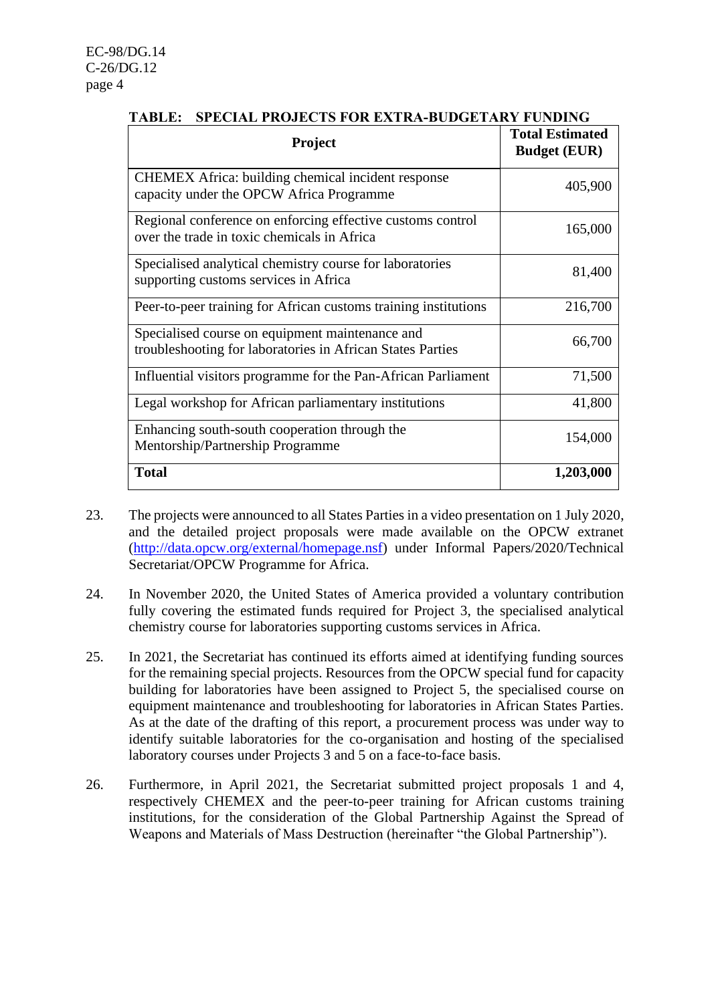| <b>Project</b>                                                                                                | <b>Total Estimated</b><br><b>Budget (EUR)</b> |
|---------------------------------------------------------------------------------------------------------------|-----------------------------------------------|
| <b>CHEMEX</b> Africa: building chemical incident response<br>capacity under the OPCW Africa Programme         | 405,900                                       |
| Regional conference on enforcing effective customs control<br>over the trade in toxic chemicals in Africa     | 165,000                                       |
| Specialised analytical chemistry course for laboratories<br>supporting customs services in Africa             | 81,400                                        |
| Peer-to-peer training for African customs training institutions                                               | 216,700                                       |
| Specialised course on equipment maintenance and<br>troubleshooting for laboratories in African States Parties | 66,700                                        |
| Influential visitors programme for the Pan-African Parliament                                                 | 71,500                                        |
| Legal workshop for African parliamentary institutions                                                         | 41,800                                        |
| Enhancing south-south cooperation through the<br>Mentorship/Partnership Programme                             | 154,000                                       |
| <b>Total</b>                                                                                                  | 1,203,000                                     |

# **TABLE: SPECIAL PROJECTS FOR EXTRA-BUDGETARY FUNDING**

- 23. The projects were announced to all States Parties in a video presentation on 1 July 2020, and the detailed project proposals were made available on the OPCW extranet [\(http://data.opcw.org/external/homepage.nsf\)](http://data.opcw.org/external/homepage.nsf) under Informal Papers/2020/Technical Secretariat/OPCW Programme for Africa.
- 24. In November 2020, the United States of America provided a voluntary contribution fully covering the estimated funds required for Project 3, the specialised analytical chemistry course for laboratories supporting customs services in Africa.
- 25. In 2021, the Secretariat has continued its efforts aimed at identifying funding sources for the remaining special projects. Resources from the OPCW special fund for capacity building for laboratories have been assigned to Project 5, the specialised course on equipment maintenance and troubleshooting for laboratories in African States Parties. As at the date of the drafting of this report, a procurement process was under way to identify suitable laboratories for the co-organisation and hosting of the specialised laboratory courses under Projects 3 and 5 on a face-to-face basis.
- 26. Furthermore, in April 2021, the Secretariat submitted project proposals 1 and 4, respectively CHEMEX and the peer-to-peer training for African customs training institutions, for the consideration of the Global Partnership Against the Spread of Weapons and Materials of Mass Destruction (hereinafter "the Global Partnership").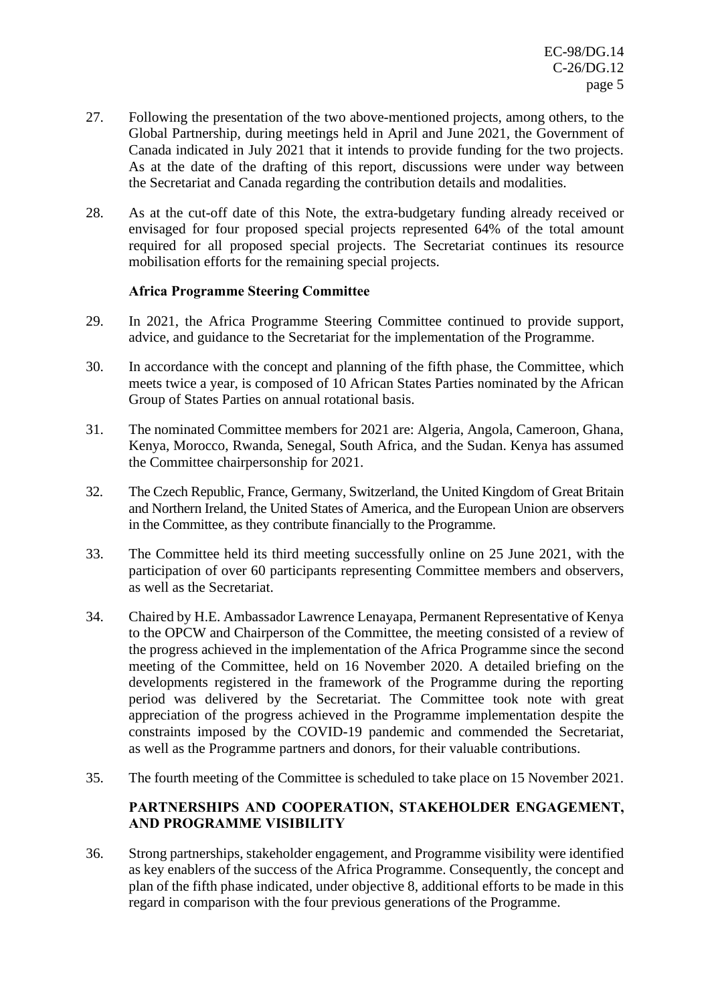- 27. Following the presentation of the two above-mentioned projects, among others, to the Global Partnership, during meetings held in April and June 2021, the Government of Canada indicated in July 2021 that it intends to provide funding for the two projects. As at the date of the drafting of this report, discussions were under way between the Secretariat and Canada regarding the contribution details and modalities.
- 28. As at the cut-off date of this Note, the extra-budgetary funding already received or envisaged for four proposed special projects represented 64% of the total amount required for all proposed special projects. The Secretariat continues its resource mobilisation efforts for the remaining special projects.

# **Africa Programme Steering Committee**

- 29. In 2021, the Africa Programme Steering Committee continued to provide support, advice, and guidance to the Secretariat for the implementation of the Programme.
- 30. In accordance with the concept and planning of the fifth phase, the Committee, which meets twice a year, is composed of 10 African States Parties nominated by the African Group of States Parties on annual rotational basis.
- 31. The nominated Committee members for 2021 are: Algeria, Angola, Cameroon, Ghana, Kenya, Morocco, Rwanda, Senegal, South Africa, and the Sudan. Kenya has assumed the Committee chairpersonship for 2021.
- 32. The Czech Republic, France, Germany, Switzerland, the United Kingdom of Great Britain and Northern Ireland, the United States of America, and the European Union are observers in the Committee, as they contribute financially to the Programme.
- 33. The Committee held its third meeting successfully online on 25 June 2021, with the participation of over 60 participants representing Committee members and observers, as well as the Secretariat.
- 34. Chaired by H.E. Ambassador Lawrence Lenayapa, Permanent Representative of Kenya to the OPCW and Chairperson of the Committee, the meeting consisted of a review of the progress achieved in the implementation of the Africa Programme since the second meeting of the Committee, held on 16 November 2020. A detailed briefing on the developments registered in the framework of the Programme during the reporting period was delivered by the Secretariat. The Committee took note with great appreciation of the progress achieved in the Programme implementation despite the constraints imposed by the COVID-19 pandemic and commended the Secretariat, as well as the Programme partners and donors, for their valuable contributions.
- 35. The fourth meeting of the Committee is scheduled to take place on 15 November 2021.

# **PARTNERSHIPS AND COOPERATION, STAKEHOLDER ENGAGEMENT, AND PROGRAMME VISIBILITY**

36. Strong partnerships, stakeholder engagement, and Programme visibility were identified as key enablers of the success of the Africa Programme. Consequently, the concept and plan of the fifth phase indicated, under objective 8, additional efforts to be made in this regard in comparison with the four previous generations of the Programme.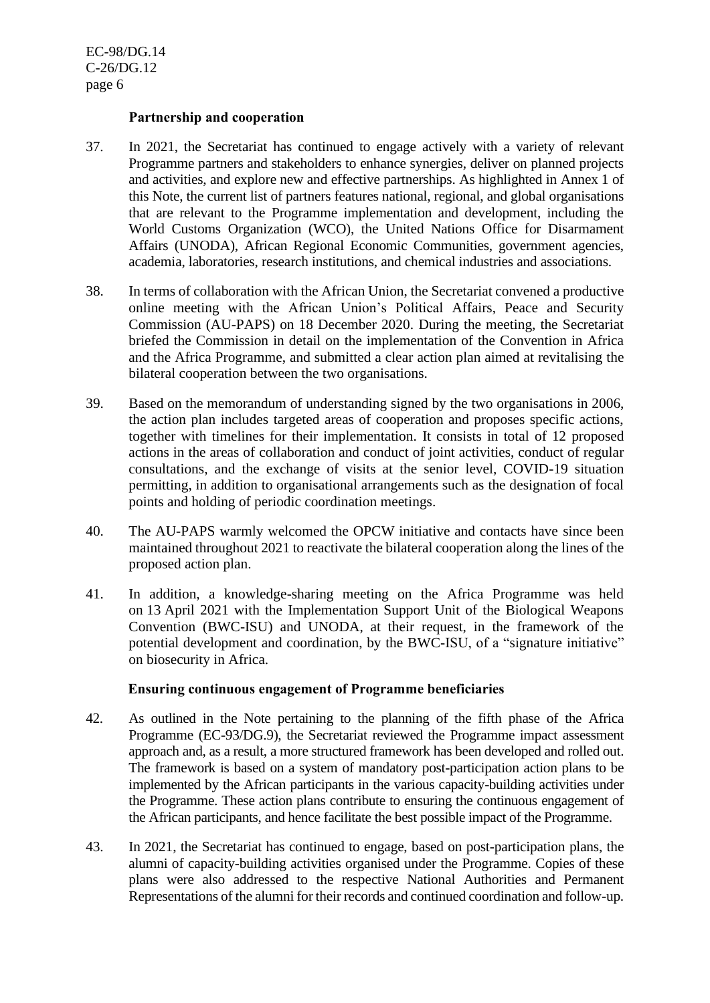#### **Partnership and cooperation**

- 37. In 2021, the Secretariat has continued to engage actively with a variety of relevant Programme partners and stakeholders to enhance synergies, deliver on planned projects and activities, and explore new and effective partnerships. As highlighted in Annex 1 of this Note, the current list of partners features national, regional, and global organisations that are relevant to the Programme implementation and development, including the World Customs Organization (WCO), the United Nations Office for Disarmament Affairs (UNODA), African Regional Economic Communities, government agencies, academia, laboratories, research institutions, and chemical industries and associations.
- 38. In terms of collaboration with the African Union, the Secretariat convened a productive online meeting with the African Union's Political Affairs, Peace and Security Commission (AU-PAPS) on 18 December 2020. During the meeting, the Secretariat briefed the Commission in detail on the implementation of the Convention in Africa and the Africa Programme, and submitted a clear action plan aimed at revitalising the bilateral cooperation between the two organisations.
- 39. Based on the memorandum of understanding signed by the two organisations in 2006, the action plan includes targeted areas of cooperation and proposes specific actions, together with timelines for their implementation. It consists in total of 12 proposed actions in the areas of collaboration and conduct of joint activities, conduct of regular consultations, and the exchange of visits at the senior level, COVID-19 situation permitting, in addition to organisational arrangements such as the designation of focal points and holding of periodic coordination meetings.
- 40. The AU-PAPS warmly welcomed the OPCW initiative and contacts have since been maintained throughout 2021 to reactivate the bilateral cooperation along the lines of the proposed action plan.
- 41. In addition, a knowledge-sharing meeting on the Africa Programme was held on 13 April 2021 with the Implementation Support Unit of the Biological Weapons Convention (BWC-ISU) and UNODA, at their request, in the framework of the potential development and coordination, by the BWC-ISU, of a "signature initiative" on biosecurity in Africa.

#### **Ensuring continuous engagement of Programme beneficiaries**

- 42. As outlined in the Note pertaining to the planning of the fifth phase of the Africa Programme (EC-93/DG.9), the Secretariat reviewed the Programme impact assessment approach and, as a result, a more structured framework has been developed and rolled out. The framework is based on a system of mandatory post-participation action plans to be implemented by the African participants in the various capacity-building activities under the Programme. These action plans contribute to ensuring the continuous engagement of the African participants, and hence facilitate the best possible impact of the Programme.
- 43. In 2021, the Secretariat has continued to engage, based on post-participation plans, the alumni of capacity-building activities organised under the Programme. Copies of these plans were also addressed to the respective National Authorities and Permanent Representations of the alumni for their records and continued coordination and follow-up.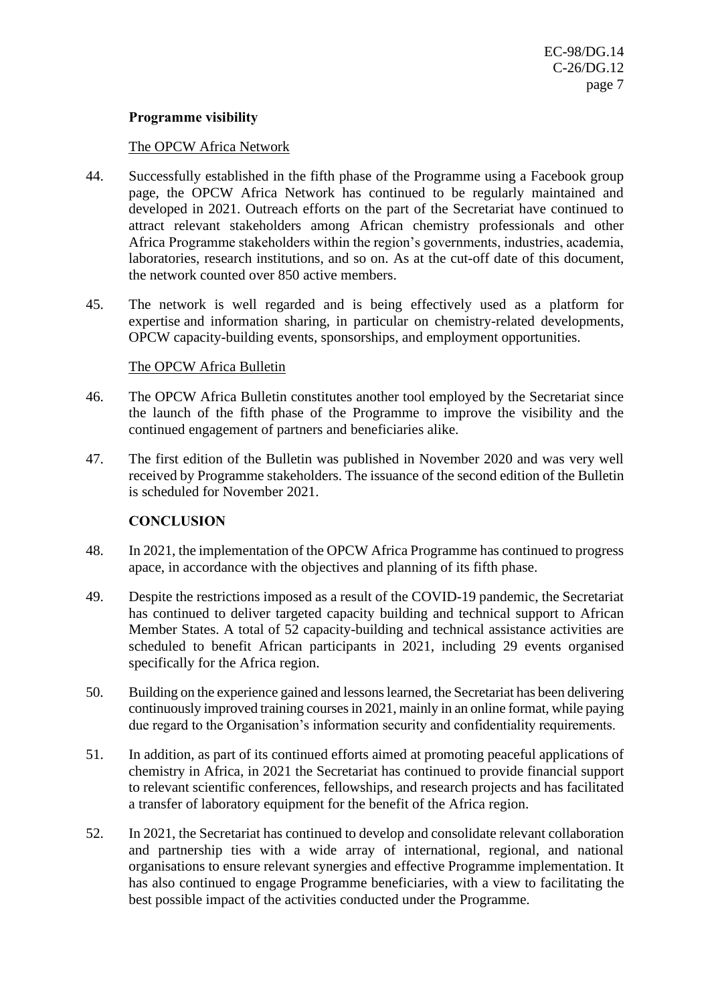# **Programme visibility**

#### The OPCW Africa Network

- 44. Successfully established in the fifth phase of the Programme using a Facebook group page, the OPCW Africa Network has continued to be regularly maintained and developed in 2021. Outreach efforts on the part of the Secretariat have continued to attract relevant stakeholders among African chemistry professionals and other Africa Programme stakeholders within the region's governments, industries, academia, laboratories, research institutions, and so on. As at the cut-off date of this document, the network counted over 850 active members.
- 45. The network is well regarded and is being effectively used as a platform for expertise and information sharing, in particular on chemistry-related developments, OPCW capacity-building events, sponsorships, and employment opportunities.

#### The OPCW Africa Bulletin

- 46. The OPCW Africa Bulletin constitutes another tool employed by the Secretariat since the launch of the fifth phase of the Programme to improve the visibility and the continued engagement of partners and beneficiaries alike.
- 47. The first edition of the Bulletin was published in November 2020 and was very well received by Programme stakeholders. The issuance of the second edition of the Bulletin is scheduled for November 2021.

#### **CONCLUSION**

- 48. In 2021, the implementation of the OPCW Africa Programme has continued to progress apace, in accordance with the objectives and planning of its fifth phase.
- 49. Despite the restrictions imposed as a result of the COVID-19 pandemic, the Secretariat has continued to deliver targeted capacity building and technical support to African Member States. A total of 52 capacity-building and technical assistance activities are scheduled to benefit African participants in 2021, including 29 events organised specifically for the Africa region.
- 50. Building on the experience gained and lessons learned, the Secretariat has been delivering continuously improved training courses in 2021, mainly in an online format, while paying due regard to the Organisation's information security and confidentiality requirements.
- 51. In addition, as part of its continued efforts aimed at promoting peaceful applications of chemistry in Africa, in 2021 the Secretariat has continued to provide financial support to relevant scientific conferences, fellowships, and research projects and has facilitated a transfer of laboratory equipment for the benefit of the Africa region.
- 52. In 2021, the Secretariat has continued to develop and consolidate relevant collaboration and partnership ties with a wide array of international, regional, and national organisations to ensure relevant synergies and effective Programme implementation. It has also continued to engage Programme beneficiaries, with a view to facilitating the best possible impact of the activities conducted under the Programme.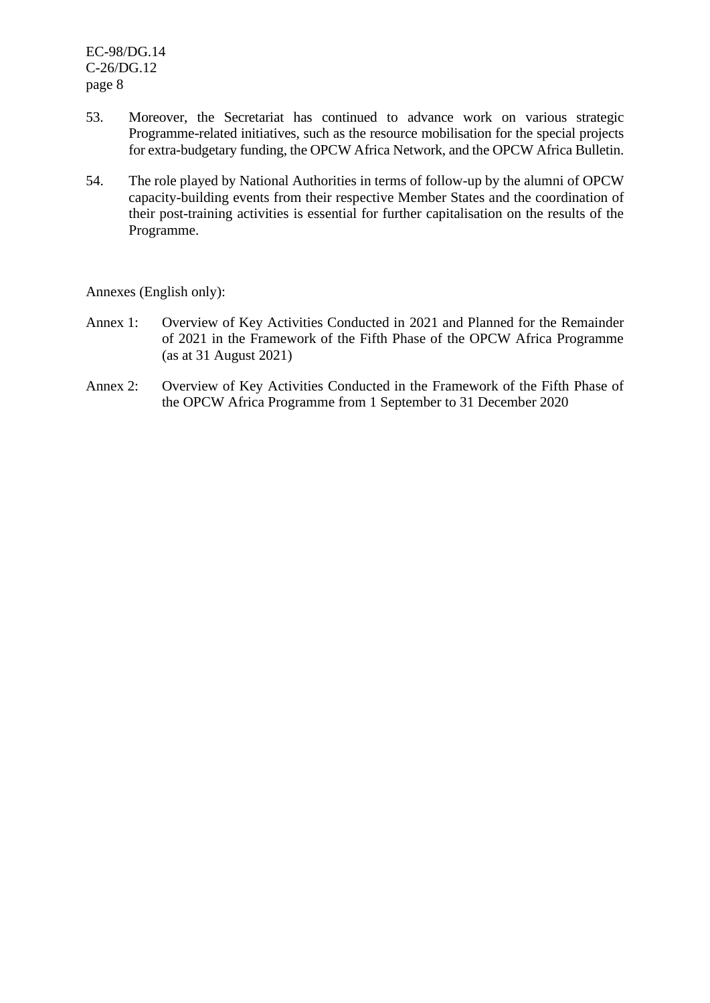- 53. Moreover, the Secretariat has continued to advance work on various strategic Programme-related initiatives, such as the resource mobilisation for the special projects for extra-budgetary funding, the OPCW Africa Network, and the OPCW Africa Bulletin.
- 54. The role played by National Authorities in terms of follow-up by the alumni of OPCW capacity-building events from their respective Member States and the coordination of their post-training activities is essential for further capitalisation on the results of the Programme.

Annexes (English only):

- Annex 1: Overview of Key Activities Conducted in 2021 and Planned for the Remainder of 2021 in the Framework of the Fifth Phase of the OPCW Africa Programme (as at 31 August 2021)
- Annex 2: Overview of Key Activities Conducted in the Framework of the Fifth Phase of the OPCW Africa Programme from 1 September to 31 December 2020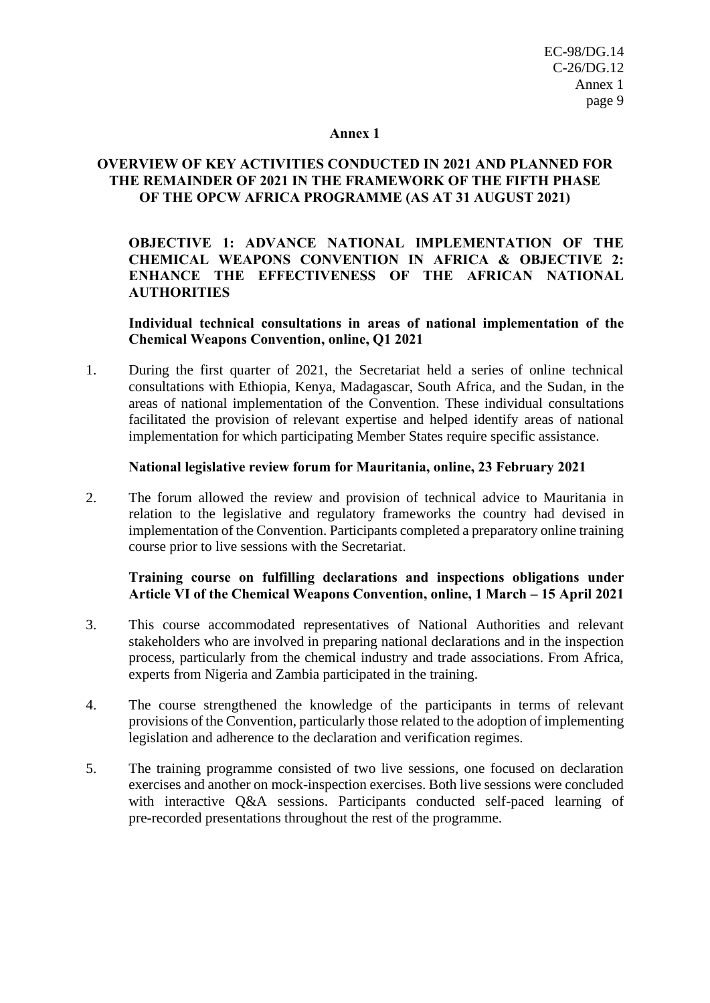#### **Annex 1**

# **OVERVIEW OF KEY ACTIVITIES CONDUCTED IN 2021 AND PLANNED FOR THE REMAINDER OF 2021 IN THE FRAMEWORK OF THE FIFTH PHASE OF THE OPCW AFRICA PROGRAMME (AS AT 31 AUGUST 2021)**

**OBJECTIVE 1: ADVANCE NATIONAL IMPLEMENTATION OF THE CHEMICAL WEAPONS CONVENTION IN AFRICA & OBJECTIVE 2: ENHANCE THE EFFECTIVENESS OF THE AFRICAN NATIONAL AUTHORITIES**

#### **Individual technical consultations in areas of national implementation of the Chemical Weapons Convention, online, Q1 2021**

1. During the first quarter of 2021, the Secretariat held a series of online technical consultations with Ethiopia, Kenya, Madagascar, South Africa, and the Sudan, in the areas of national implementation of the Convention. These individual consultations facilitated the provision of relevant expertise and helped identify areas of national implementation for which participating Member States require specific assistance.

#### **National legislative review forum for Mauritania, online, 23 February 2021**

2. The forum allowed the review and provision of technical advice to Mauritania in relation to the legislative and regulatory frameworks the country had devised in implementation of the Convention. Participants completed a preparatory online training course prior to live sessions with the Secretariat.

# **Training course on fulfilling declarations and inspections obligations under Article VI of the Chemical Weapons Convention, online, 1 March – 15 April 2021**

- 3. This course accommodated representatives of National Authorities and relevant stakeholders who are involved in preparing national declarations and in the inspection process, particularly from the chemical industry and trade associations. From Africa, experts from Nigeria and Zambia participated in the training.
- 4. The course strengthened the knowledge of the participants in terms of relevant provisions of the Convention, particularly those related to the adoption of implementing legislation and adherence to the declaration and verification regimes.
- 5. The training programme consisted of two live sessions, one focused on declaration exercises and another on mock-inspection exercises. Both live sessions were concluded with interactive O&A sessions. Participants conducted self-paced learning of pre-recorded presentations throughout the rest of the programme.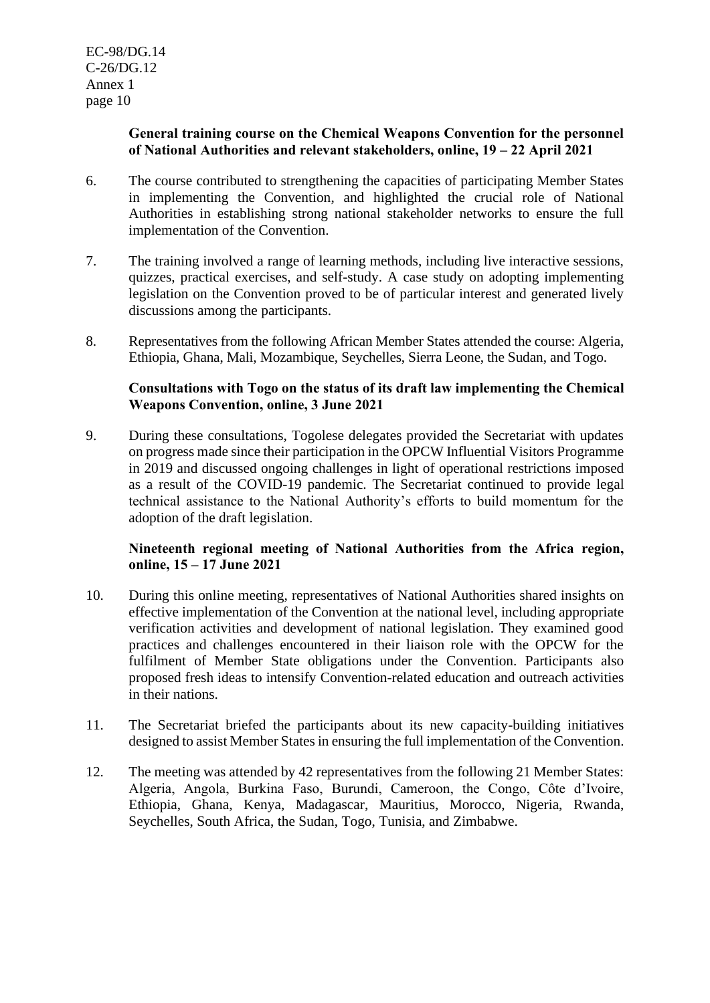## **General training course on the Chemical Weapons Convention for the personnel of National Authorities and relevant stakeholders, online, 19 – 22 April 2021**

- 6. The course contributed to strengthening the capacities of participating Member States in implementing the Convention, and highlighted the crucial role of National Authorities in establishing strong national stakeholder networks to ensure the full implementation of the Convention.
- 7. The training involved a range of learning methods, including live interactive sessions, quizzes, practical exercises, and self-study. A case study on adopting implementing legislation on the Convention proved to be of particular interest and generated lively discussions among the participants.
- 8. Representatives from the following African Member States attended the course: Algeria, Ethiopia, Ghana, Mali, Mozambique, Seychelles, Sierra Leone, the Sudan, and Togo.

# **Consultations with Togo on the status of its draft law implementing the Chemical Weapons Convention, online, 3 June 2021**

9. During these consultations, Togolese delegates provided the Secretariat with updates on progress made since their participation in the OPCW Influential Visitors Programme in 2019 and discussed ongoing challenges in light of operational restrictions imposed as a result of the COVID-19 pandemic. The Secretariat continued to provide legal technical assistance to the National Authority's efforts to build momentum for the adoption of the draft legislation.

# **Nineteenth regional meeting of National Authorities from the Africa region, online, 15 – 17 June 2021**

- 10. During this online meeting, representatives of National Authorities shared insights on effective implementation of the Convention at the national level, including appropriate verification activities and development of national legislation. They examined good practices and challenges encountered in their liaison role with the OPCW for the fulfilment of Member State obligations under the Convention. Participants also proposed fresh ideas to intensify Convention-related education and outreach activities in their nations.
- 11. The Secretariat briefed the participants about its new capacity-building initiatives designed to assist Member States in ensuring the full implementation of the Convention.
- 12. The meeting was attended by 42 representatives from the following 21 Member States: Algeria, Angola, Burkina Faso, Burundi, Cameroon, the Congo, Côte d'Ivoire, Ethiopia, Ghana, Kenya, Madagascar, Mauritius, Morocco, Nigeria, Rwanda, Seychelles, South Africa, the Sudan, Togo, Tunisia, and Zimbabwe.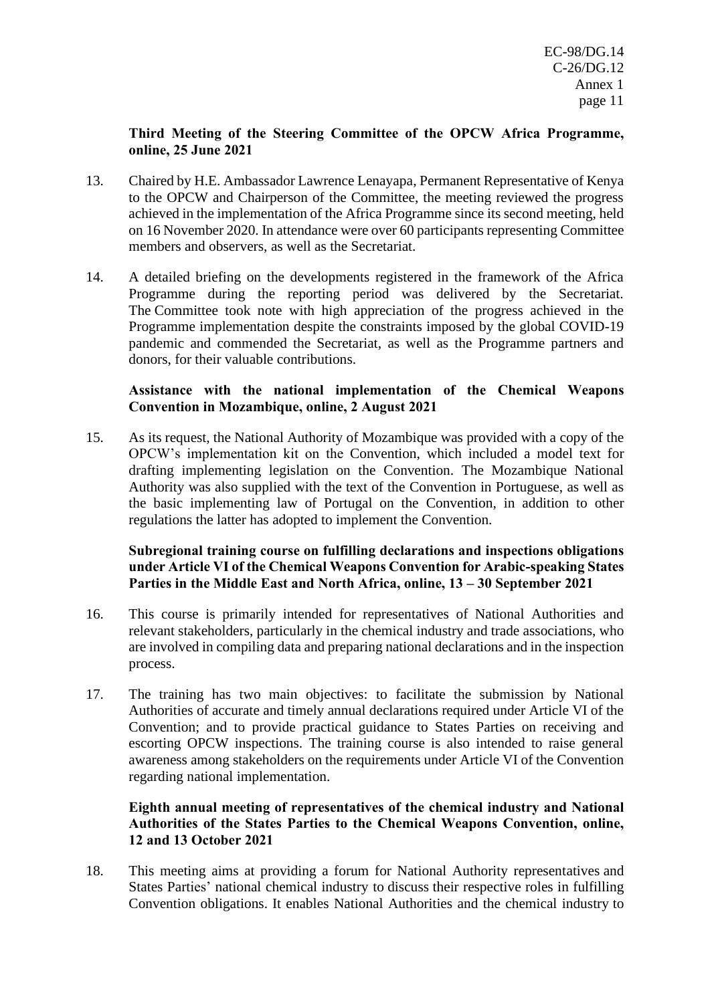## **Third Meeting of the Steering Committee of the OPCW Africa Programme, online, 25 June 2021**

- 13. Chaired by H.E. Ambassador Lawrence Lenayapa, Permanent Representative of Kenya to the OPCW and Chairperson of the Committee, the meeting reviewed the progress achieved in the implementation of the Africa Programme since its second meeting, held on 16 November 2020. In attendance were over 60 participants representing Committee members and observers, as well as the Secretariat.
- 14. A detailed briefing on the developments registered in the framework of the Africa Programme during the reporting period was delivered by the Secretariat. The Committee took note with high appreciation of the progress achieved in the Programme implementation despite the constraints imposed by the global COVID-19 pandemic and commended the Secretariat, as well as the Programme partners and donors, for their valuable contributions.

# **Assistance with the national implementation of the Chemical Weapons Convention in Mozambique, online, 2 August 2021**

15. As its request, the National Authority of Mozambique was provided with a copy of the OPCW's implementation kit on the Convention, which included a model text for drafting implementing legislation on the Convention. The Mozambique National Authority was also supplied with the text of the Convention in Portuguese, as well as the basic implementing law of Portugal on the Convention, in addition to other regulations the latter has adopted to implement the Convention.

## **Subregional training course on fulfilling declarations and inspections obligations under Article VI of the Chemical Weapons Convention for Arabic-speaking States Parties in the Middle East and North Africa, online, 13 – 30 September 2021**

- 16. This course is primarily intended for representatives of National Authorities and relevant stakeholders, particularly in the chemical industry and trade associations, who are involved in compiling data and preparing national declarations and in the inspection process.
- 17. The training has two main objectives: to facilitate the submission by National Authorities of accurate and timely annual declarations required under Article VI of the Convention; and to provide practical guidance to States Parties on receiving and escorting OPCW inspections. The training course is also intended to raise general awareness among stakeholders on the requirements under Article VI of the Convention regarding national implementation.

# **Eighth annual meeting of representatives of the chemical industry and National Authorities of the States Parties to the Chemical Weapons Convention, online, 12 and 13 October 2021**

18. This meeting aims at providing a forum for National Authority representatives and States Parties' national chemical industry to discuss their respective roles in fulfilling Convention obligations. It enables National Authorities and the chemical industry to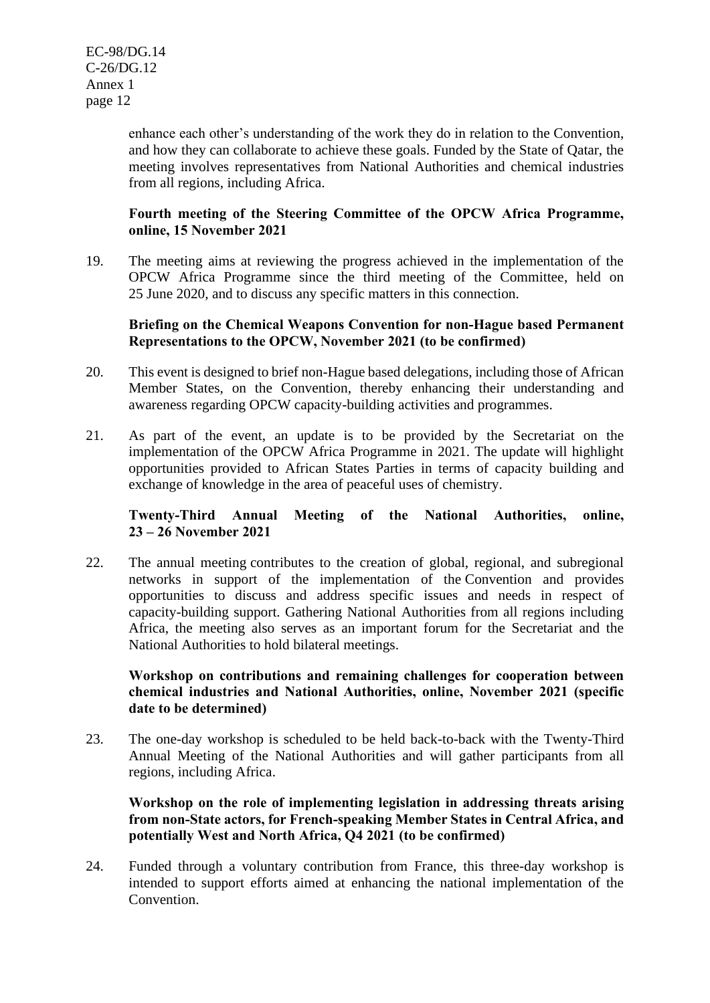enhance each other's understanding of the work they do in relation to the Convention, and how they can collaborate to achieve these goals. Funded by the State of Qatar, the meeting involves representatives from National Authorities and chemical industries from all regions, including Africa.

# **Fourth meeting of the Steering Committee of the OPCW Africa Programme, online, 15 November 2021**

19. The meeting aims at reviewing the progress achieved in the implementation of the OPCW Africa Programme since the third meeting of the Committee, held on 25 June 2020, and to discuss any specific matters in this connection.

#### **Briefing on the Chemical Weapons Convention for non-Hague based Permanent Representations to the OPCW, November 2021 (to be confirmed)**

- 20. This event is designed to brief non-Hague based delegations, including those of African Member States, on the Convention, thereby enhancing their understanding and awareness regarding OPCW capacity-building activities and programmes.
- 21. As part of the event, an update is to be provided by the Secretariat on the implementation of the OPCW Africa Programme in 2021. The update will highlight opportunities provided to African States Parties in terms of capacity building and exchange of knowledge in the area of peaceful uses of chemistry.

# **Twenty-Third Annual Meeting of the National Authorities, online, 23 – 26 November 2021**

22. The annual meeting contributes to the creation of global, regional, and subregional networks in support of the implementation of the Convention and provides opportunities to discuss and address specific issues and needs in respect of capacity-building support. Gathering National Authorities from all regions including Africa, the meeting also serves as an important forum for the Secretariat and the National Authorities to hold bilateral meetings.

# **Workshop on contributions and remaining challenges for cooperation between chemical industries and National Authorities, online, November 2021 (specific date to be determined)**

23. The one-day workshop is scheduled to be held back-to-back with the Twenty-Third Annual Meeting of the National Authorities and will gather participants from all regions, including Africa.

# **Workshop on the role of implementing legislation in addressing threats arising from non-State actors, for French-speaking Member States in Central Africa, and potentially West and North Africa, Q4 2021 (to be confirmed)**

24. Funded through a voluntary contribution from France, this three-day workshop is intended to support efforts aimed at enhancing the national implementation of the Convention.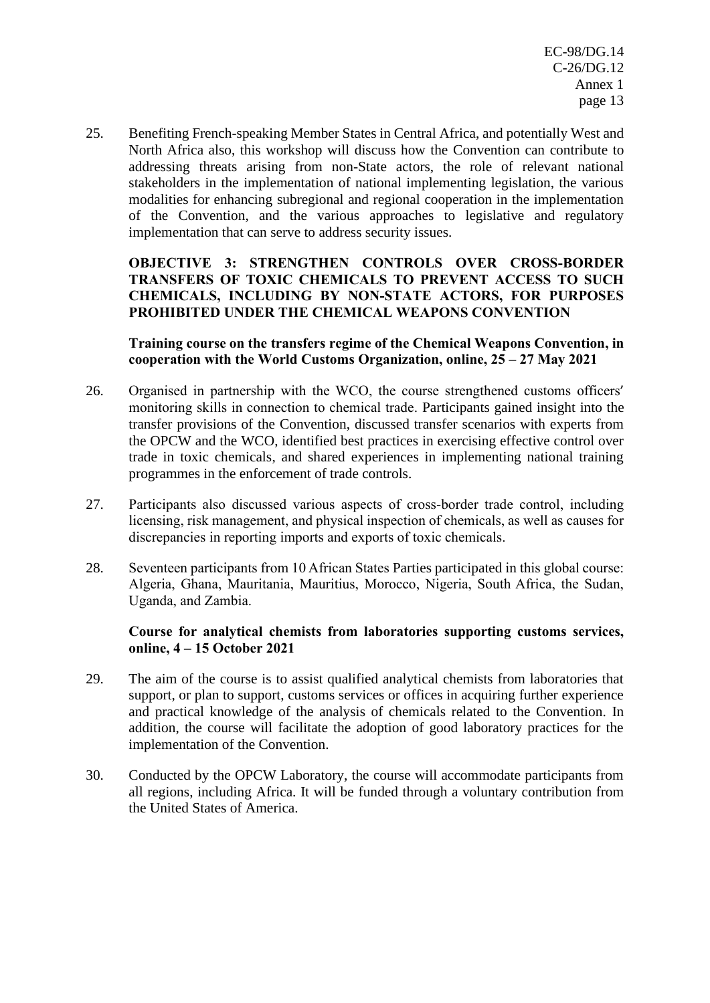25. Benefiting French-speaking Member States in Central Africa, and potentially West and North Africa also, this workshop will discuss how the Convention can contribute to addressing threats arising from non-State actors, the role of relevant national stakeholders in the implementation of national implementing legislation, the various modalities for enhancing subregional and regional cooperation in the implementation of the Convention, and the various approaches to legislative and regulatory implementation that can serve to address security issues.

# **OBJECTIVE 3: STRENGTHEN CONTROLS OVER CROSS-BORDER TRANSFERS OF TOXIC CHEMICALS TO PREVENT ACCESS TO SUCH CHEMICALS, INCLUDING BY NON-STATE ACTORS, FOR PURPOSES PROHIBITED UNDER THE CHEMICAL WEAPONS CONVENTION**

# **Training course on the transfers regime of the Chemical Weapons Convention, in cooperation with the World Customs Organization, online, 25 – 27 May 2021**

- 26. Organised in partnership with the WCO, the course strengthened customs officers' monitoring skills in connection to chemical trade. Participants gained insight into the transfer provisions of the Convention, discussed transfer scenarios with experts from the OPCW and the WCO, identified best practices in exercising effective control over trade in toxic chemicals, and shared experiences in implementing national training programmes in the enforcement of trade controls.
- 27. Participants also discussed various aspects of cross-border trade control, including licensing, risk management, and physical inspection of chemicals, as well as causes for discrepancies in reporting imports and exports of toxic chemicals.
- 28. Seventeen participants from 10 African States Parties participated in this global course: Algeria, Ghana, Mauritania, Mauritius, Morocco, Nigeria, South Africa, the Sudan, Uganda, and Zambia.

# **Course for analytical chemists from laboratories supporting customs services, online, 4 – 15 October 2021**

- 29. The aim of the course is to assist qualified analytical chemists from laboratories that support, or plan to support, customs services or offices in acquiring further experience and practical knowledge of the analysis of chemicals related to the Convention. In addition, the course will facilitate the adoption of good laboratory practices for the implementation of the Convention.
- 30. Conducted by the OPCW Laboratory, the course will accommodate participants from all regions, including Africa. It will be funded through a voluntary contribution from the United States of America.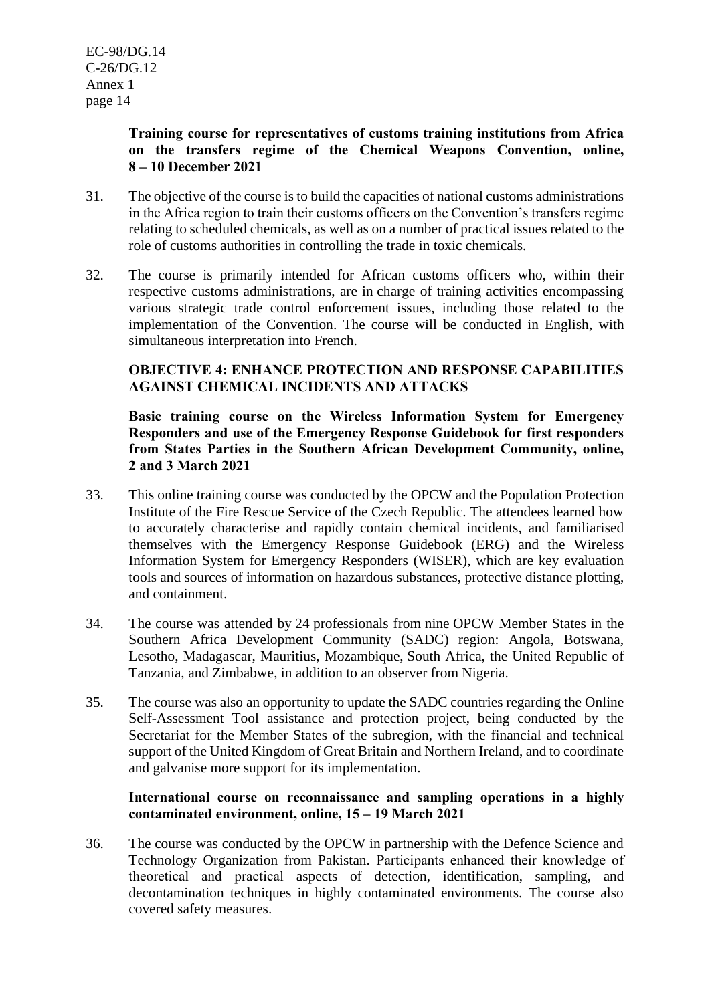# **Training course for representatives of customs training institutions from Africa on the transfers regime of the Chemical Weapons Convention, online, 8 – 10 December 2021**

- 31. The objective of the course is to build the capacities of national customs administrations in the Africa region to train their customs officers on the Convention's transfers regime relating to scheduled chemicals, as well as on a number of practical issues related to the role of customs authorities in controlling the trade in toxic chemicals.
- 32. The course is primarily intended for African customs officers who, within their respective customs administrations, are in charge of training activities encompassing various strategic trade control enforcement issues, including those related to the implementation of the Convention. The course will be conducted in English, with simultaneous interpretation into French.

# **OBJECTIVE 4: ENHANCE PROTECTION AND RESPONSE CAPABILITIES AGAINST CHEMICAL INCIDENTS AND ATTACKS**

**Basic training course on the Wireless Information System for Emergency Responders and use of the Emergency Response Guidebook for first responders from States Parties in the Southern African Development Community, online, 2 and 3 March 2021**

- 33. This online training course was conducted by the OPCW and the Population Protection Institute of the Fire Rescue Service of the Czech Republic. The attendees learned how to accurately characterise and rapidly contain chemical incidents, and familiarised themselves with the Emergency Response Guidebook (ERG) and the Wireless Information System for Emergency Responders (WISER), which are key evaluation tools and sources of information on hazardous substances, protective distance plotting, and containment.
- 34. The course was attended by 24 professionals from nine OPCW Member States in the Southern Africa Development Community (SADC) region: Angola, Botswana, Lesotho, Madagascar, Mauritius, Mozambique, South Africa, the United Republic of Tanzania, and Zimbabwe, in addition to an observer from Nigeria.
- 35. The course was also an opportunity to update the SADC countries regarding the Online Self-Assessment Tool assistance and protection project, being conducted by the Secretariat for the Member States of the subregion, with the financial and technical support of the United Kingdom of Great Britain and Northern Ireland, and to coordinate and galvanise more support for its implementation.

# **International course on reconnaissance and sampling operations in a highly contaminated environment, online, 15 – 19 March 2021**

36. The course was conducted by the OPCW in partnership with the Defence Science and Technology Organization from Pakistan. Participants enhanced their knowledge of theoretical and practical aspects of detection, identification, sampling, and decontamination techniques in highly contaminated environments. The course also covered safety measures.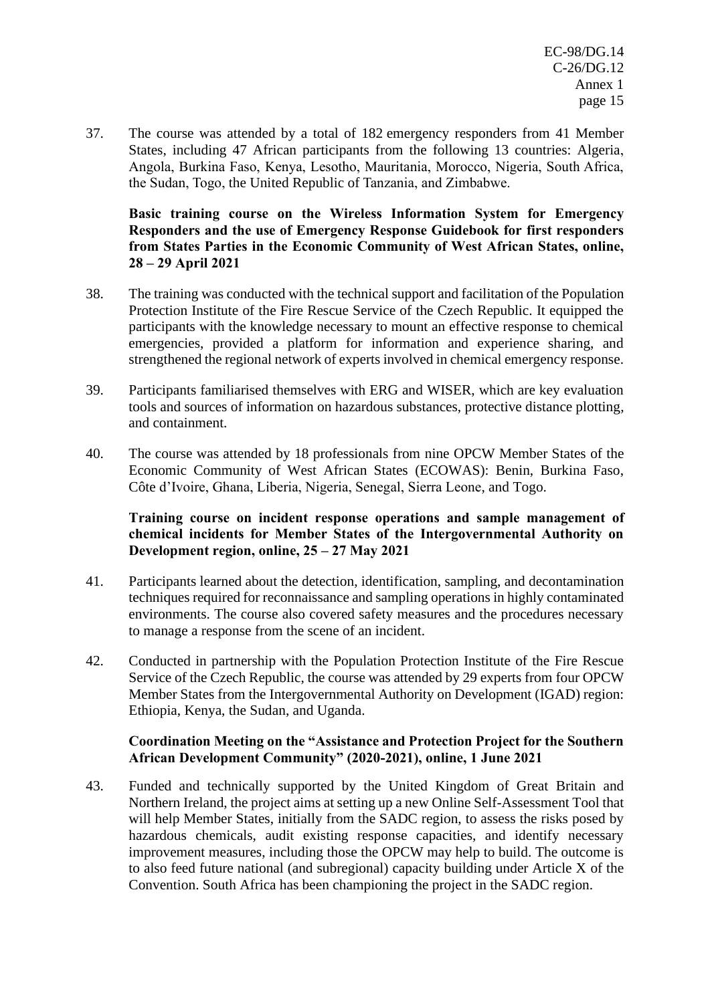37. The course was attended by a total of 182 emergency responders from 41 Member States, including 47 African participants from the following 13 countries: Algeria, Angola, Burkina Faso, Kenya, Lesotho, Mauritania, Morocco, Nigeria, South Africa, the Sudan, Togo, the United Republic of Tanzania, and Zimbabwe.

**Basic training course on the Wireless Information System for Emergency Responders and the use of Emergency Response Guidebook for first responders from States Parties in the Economic Community of West African States, online, 28 – 29 April 2021**

- 38. The training was conducted with the technical support and facilitation of the Population Protection Institute of the Fire Rescue Service of the Czech Republic. It equipped the participants with the knowledge necessary to mount an effective response to chemical emergencies, provided a platform for information and experience sharing, and strengthened the regional network of experts involved in chemical emergency response.
- 39. Participants familiarised themselves with ERG and WISER, which are key evaluation tools and sources of information on hazardous substances, protective distance plotting, and containment.
- 40. The course was attended by 18 professionals from nine OPCW Member States of the Economic Community of West African States (ECOWAS): Benin, Burkina Faso, Côte d'Ivoire, Ghana, Liberia, Nigeria, Senegal, Sierra Leone, and Togo.

# **Training course on incident response operations and sample management of chemical incidents for Member States of the Intergovernmental Authority on Development region, online, 25 – 27 May 2021**

- 41. Participants learned about the detection, identification, sampling, and decontamination techniques required for reconnaissance and sampling operations in highly contaminated environments. The course also covered safety measures and the procedures necessary to manage a response from the scene of an incident.
- 42. Conducted in partnership with the Population Protection Institute of the Fire Rescue Service of the Czech Republic, the course was attended by 29 experts from four OPCW Member States from the Intergovernmental Authority on Development (IGAD) region: Ethiopia, Kenya, the Sudan, and Uganda.

# **Coordination Meeting on the "Assistance and Protection Project for the Southern African Development Community" (2020-2021), online, 1 June 2021**

43. Funded and technically supported by the United Kingdom of Great Britain and Northern Ireland, the project aims at setting up a new Online Self-Assessment Tool that will help Member States, initially from the SADC region, to assess the risks posed by hazardous chemicals, audit existing response capacities, and identify necessary improvement measures, including those the OPCW may help to build. The outcome is to also feed future national (and subregional) capacity building under Article X of the Convention. South Africa has been championing the project in the SADC region.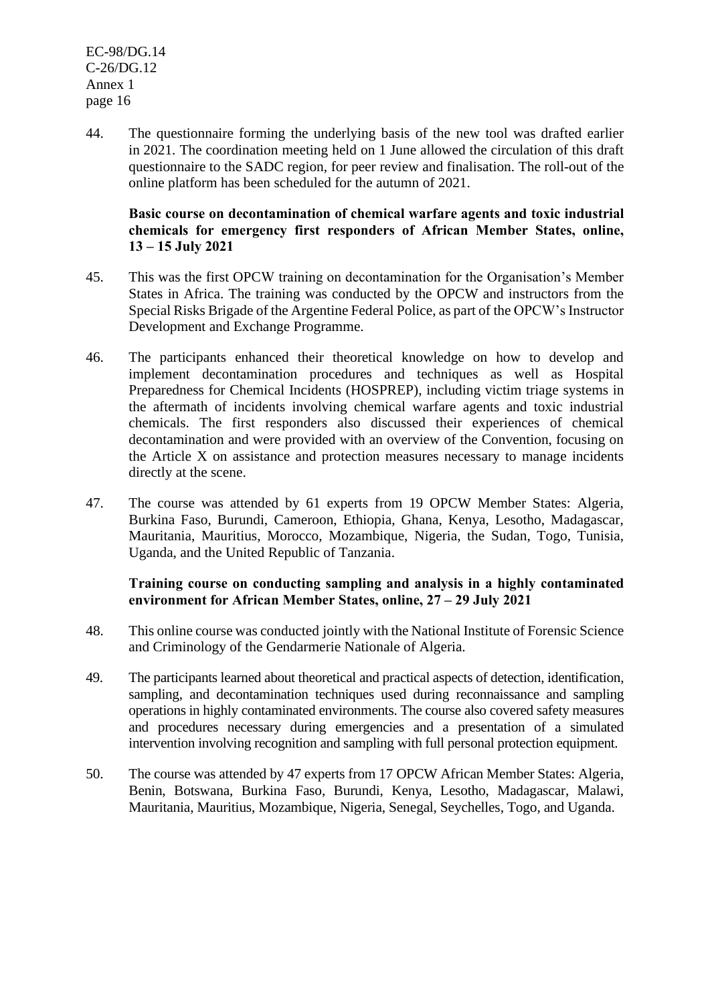44. The questionnaire forming the underlying basis of the new tool was drafted earlier in 2021. The coordination meeting held on 1 June allowed the circulation of this draft questionnaire to the SADC region, for peer review and finalisation. The roll-out of the online platform has been scheduled for the autumn of 2021.

#### **Basic course on decontamination of chemical warfare agents and toxic industrial chemicals for emergency first responders of African Member States, online, 13 – 15 July 2021**

- 45. This was the first OPCW training on decontamination for the Organisation's Member States in Africa. The training was conducted by the OPCW and instructors from the Special Risks Brigade of the Argentine Federal Police, as part of the OPCW's Instructor Development and Exchange Programme.
- 46. The participants enhanced their theoretical knowledge on how to develop and implement decontamination procedures and techniques as well as Hospital Preparedness for Chemical Incidents (HOSPREP), including victim triage systems in the aftermath of incidents involving chemical warfare agents and toxic industrial chemicals. The first responders also discussed their experiences of chemical decontamination and were provided with an overview of the Convention, focusing on the Article X on assistance and protection measures necessary to manage incidents directly at the scene.
- 47. The course was attended by 61 experts from 19 OPCW Member States: Algeria, Burkina Faso, Burundi, Cameroon, Ethiopia, Ghana, Kenya, Lesotho, Madagascar, Mauritania, Mauritius, Morocco, Mozambique, Nigeria, the Sudan, Togo, Tunisia, Uganda, and the United Republic of Tanzania.

# **Training course on conducting sampling and analysis in a highly contaminated environment for African Member States, online, 27 – 29 July 2021**

- 48. This online course was conducted jointly with the National Institute of Forensic Science and Criminology of the Gendarmerie Nationale of Algeria.
- 49. The participants learned about theoretical and practical aspects of detection, identification, sampling, and decontamination techniques used during reconnaissance and sampling operations in highly contaminated environments. The course also covered safety measures and procedures necessary during emergencies and a presentation of a simulated intervention involving recognition and sampling with full personal protection equipment.
- 50. The course was attended by 47 experts from 17 OPCW African Member States: Algeria, Benin, Botswana, Burkina Faso, Burundi, Kenya, Lesotho, Madagascar, Malawi, Mauritania, Mauritius, Mozambique, Nigeria, Senegal, Seychelles, Togo, and Uganda.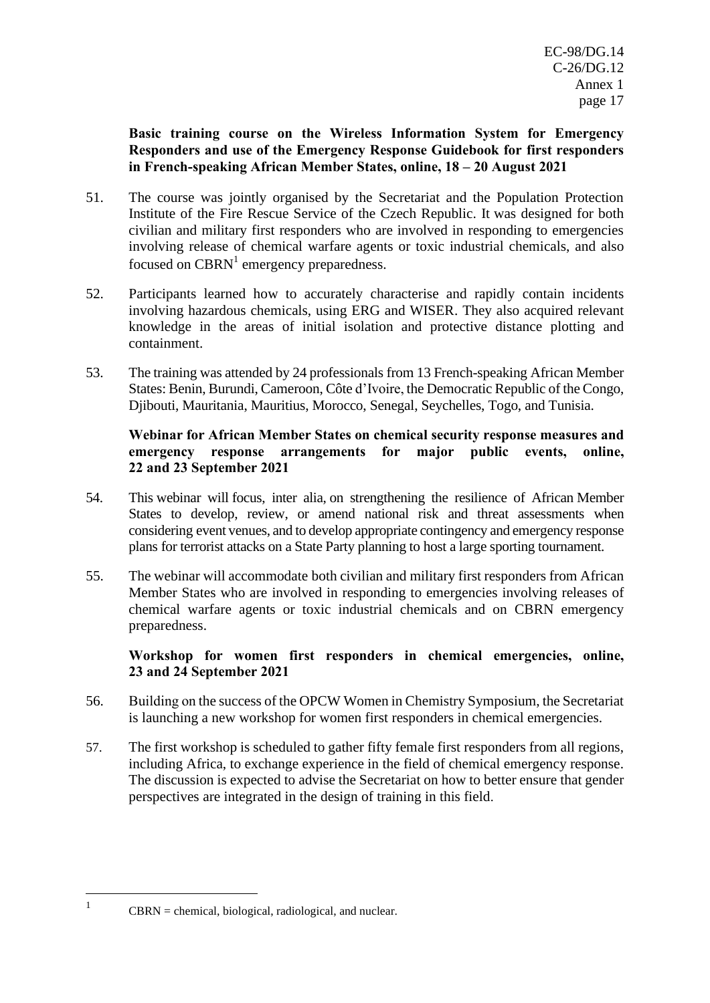# **Basic training course on the Wireless Information System for Emergency Responders and use of the Emergency Response Guidebook for first responders in French-speaking African Member States, online, 18 – 20 August 2021**

- 51. The course was jointly organised by the Secretariat and the Population Protection Institute of the Fire Rescue Service of the Czech Republic. It was designed for both civilian and military first responders who are involved in responding to emergencies involving release of chemical warfare agents or toxic industrial chemicals, and also focused on  $CBRN<sup>1</sup>$  emergency preparedness.
- 52. Participants learned how to accurately characterise and rapidly contain incidents involving hazardous chemicals, using ERG and WISER. They also acquired relevant knowledge in the areas of initial isolation and protective distance plotting and containment.
- 53. The training was attended by 24 professionals from 13 French-speaking African Member States: Benin, Burundi, Cameroon, Côte d'Ivoire, the Democratic Republic of the Congo, Djibouti, Mauritania, Mauritius, Morocco, Senegal, Seychelles, Togo, and Tunisia.

# **Webinar for African Member States on chemical security response measures and emergency response arrangements for major public events, online, 22 and 23 September 2021**

- 54. This webinar will focus, inter alia, on strengthening the resilience of African Member States to develop, review, or amend national risk and threat assessments when considering event venues, and to develop appropriate contingency and emergency response plans for terrorist attacks on a State Party planning to host a large sporting tournament.
- 55. The webinar will accommodate both civilian and military first responders from African Member States who are involved in responding to emergencies involving releases of chemical warfare agents or toxic industrial chemicals and on CBRN emergency preparedness.

# **Workshop for women first responders in chemical emergencies, online, 23 and 24 September 2021**

- 56. Building on the success of the OPCW Women in Chemistry Symposium, the Secretariat is launching a new workshop for women first responders in chemical emergencies.
- 57. The first workshop is scheduled to gather fifty female first responders from all regions, including Africa, to exchange experience in the field of chemical emergency response. The discussion is expected to advise the Secretariat on how to better ensure that gender perspectives are integrated in the design of training in this field.

1

CBRN = chemical, biological, radiological, and nuclear.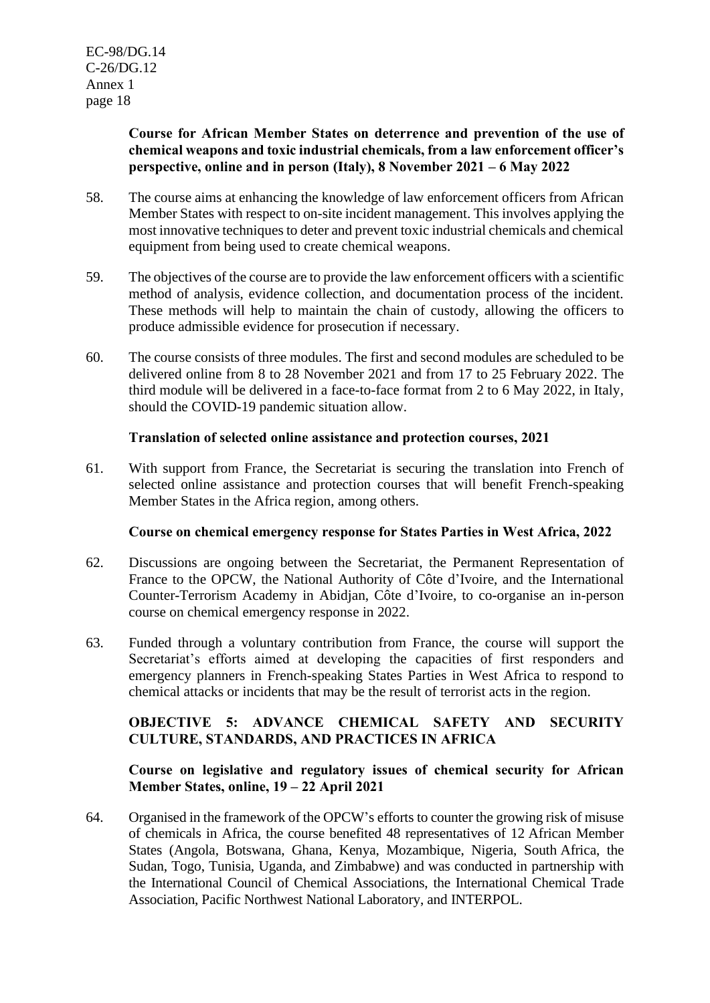# **Course for African Member States on deterrence and prevention of the use of chemical weapons and toxic industrial chemicals, from a law enforcement officer's perspective, online and in person (Italy), 8 November 2021 – 6 May 2022**

- 58. The course aims at enhancing the knowledge of law enforcement officers from African Member States with respect to on-site incident management. This involves applying the most innovative techniques to deter and prevent toxic industrial chemicals and chemical equipment from being used to create chemical weapons.
- 59. The objectives of the course are to provide the law enforcement officers with a scientific method of analysis, evidence collection, and documentation process of the incident. These methods will help to maintain the chain of custody, allowing the officers to produce admissible evidence for prosecution if necessary.
- 60. The course consists of three modules. The first and second modules are scheduled to be delivered online from 8 to 28 November 2021 and from 17 to 25 February 2022. The third module will be delivered in a face-to-face format from 2 to 6 May 2022, in Italy, should the COVID-19 pandemic situation allow.

# **Translation of selected online assistance and protection courses, 2021**

61. With support from France, the Secretariat is securing the translation into French of selected online assistance and protection courses that will benefit French-speaking Member States in the Africa region, among others.

# **Course on chemical emergency response for States Parties in West Africa, 2022**

- 62. Discussions are ongoing between the Secretariat, the Permanent Representation of France to the OPCW, the National Authority of Côte d'Ivoire, and the International Counter-Terrorism Academy in Abidjan, Côte d'Ivoire, to co-organise an in-person course on chemical emergency response in 2022.
- 63. Funded through a voluntary contribution from France, the course will support the Secretariat's efforts aimed at developing the capacities of first responders and emergency planners in French-speaking States Parties in West Africa to respond to chemical attacks or incidents that may be the result of terrorist acts in the region.

# **OBJECTIVE 5: ADVANCE CHEMICAL SAFETY AND SECURITY CULTURE, STANDARDS, AND PRACTICES IN AFRICA**

# **Course on legislative and regulatory issues of chemical security for African Member States, online, 19 – 22 April 2021**

64. Organised in the framework of the OPCW's efforts to counter the growing risk of misuse of chemicals in Africa, the course benefited 48 representatives of 12 African Member States (Angola, Botswana, Ghana, Kenya, Mozambique, Nigeria, South Africa, the Sudan, Togo, Tunisia, Uganda, and Zimbabwe) and was conducted in partnership with the International Council of Chemical Associations, the International Chemical Trade Association, Pacific Northwest National Laboratory, and INTERPOL.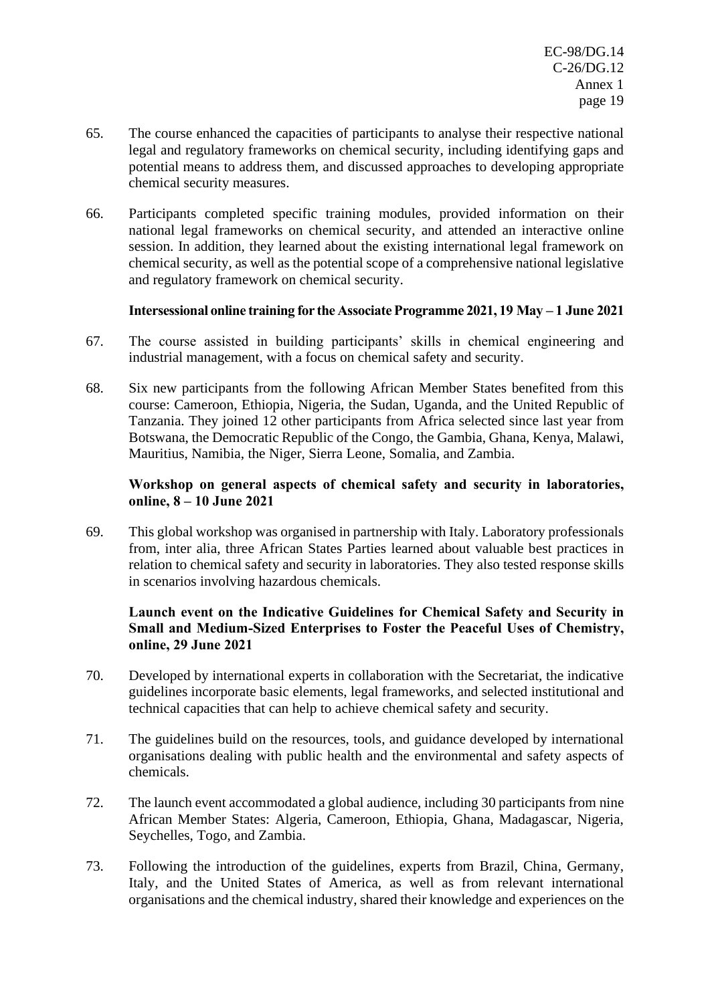- 65. The course enhanced the capacities of participants to analyse their respective national legal and regulatory frameworks on chemical security, including identifying gaps and potential means to address them, and discussed approaches to developing appropriate chemical security measures.
- 66. Participants completed specific training modules, provided information on their national legal frameworks on chemical security, and attended an interactive online session. In addition, they learned about the existing international legal framework on chemical security, as well as the potential scope of a comprehensive national legislative and regulatory framework on chemical security.

# **Intersessional online training for the Associate Programme 2021, 19 May – 1 June 2021**

- 67. The course assisted in building participants' skills in chemical engineering and industrial management, with a focus on chemical safety and security.
- 68. Six new participants from the following African Member States benefited from this course: Cameroon, Ethiopia, Nigeria, the Sudan, Uganda, and the United Republic of Tanzania. They joined 12 other participants from Africa selected since last year from Botswana, the Democratic Republic of the Congo, the Gambia, Ghana, Kenya, Malawi, Mauritius, Namibia, the Niger, Sierra Leone, Somalia, and Zambia.

# **Workshop on general aspects of chemical safety and security in laboratories, online, 8 – 10 June 2021**

69. This global workshop was organised in partnership with Italy. Laboratory professionals from, inter alia, three African States Parties learned about valuable best practices in relation to chemical safety and security in laboratories. They also tested response skills in scenarios involving hazardous chemicals.

# **Launch event on the Indicative Guidelines for Chemical Safety and Security in Small and Medium-Sized Enterprises to Foster the Peaceful Uses of Chemistry, online, 29 June 2021**

- 70. Developed by international experts in collaboration with the Secretariat, the indicative guidelines incorporate basic elements, legal frameworks, and selected institutional and technical capacities that can help to achieve chemical safety and security.
- 71. The guidelines build on the resources, tools, and guidance developed by international organisations dealing with public health and the environmental and safety aspects of chemicals.
- 72. The launch event accommodated a global audience, including 30 participants from nine African Member States: Algeria, Cameroon, Ethiopia, Ghana, Madagascar, Nigeria, Seychelles, Togo, and Zambia.
- 73. Following the introduction of the guidelines, experts from Brazil, China, Germany, Italy, and the United States of America, as well as from relevant international organisations and the chemical industry, shared their knowledge and experiences on the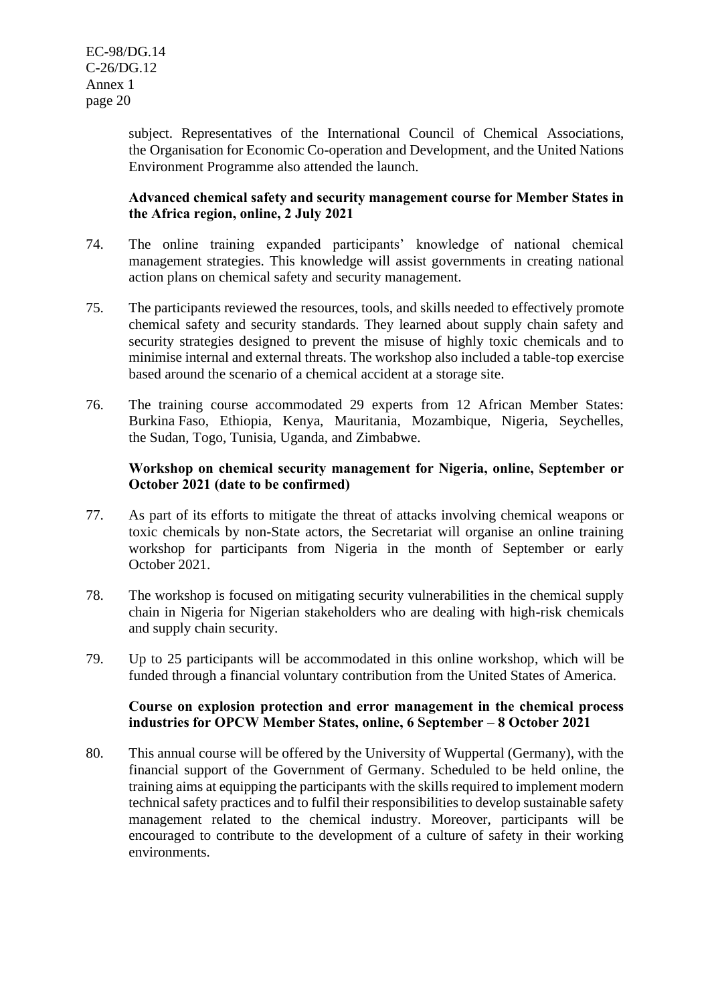subject. Representatives of the International Council of Chemical Associations, the Organisation for Economic Co-operation and Development, and the United Nations Environment Programme also attended the launch.

# **Advanced chemical safety and security management course for Member States in the Africa region, online, 2 July 2021**

- 74. The online training expanded participants' knowledge of national chemical management strategies. This knowledge will assist governments in creating national action plans on chemical safety and security management.
- 75. The participants reviewed the resources, tools, and skills needed to effectively promote chemical safety and security standards. They learned about supply chain safety and security strategies designed to prevent the misuse of highly toxic chemicals and to minimise internal and external threats. The workshop also included a table-top exercise based around the scenario of a chemical accident at a storage site.
- 76. The training course accommodated 29 experts from 12 African Member States: Burkina Faso, Ethiopia, Kenya, Mauritania, Mozambique, Nigeria, Seychelles, the Sudan, Togo, Tunisia, Uganda, and Zimbabwe.

# **Workshop on chemical security management for Nigeria, online, September or October 2021 (date to be confirmed)**

- 77. As part of its efforts to mitigate the threat of attacks involving chemical weapons or toxic chemicals by non-State actors, the Secretariat will organise an online training workshop for participants from Nigeria in the month of September or early October 2021.
- 78. The workshop is focused on mitigating security vulnerabilities in the chemical supply chain in Nigeria for Nigerian stakeholders who are dealing with high-risk chemicals and supply chain security.
- 79. Up to 25 participants will be accommodated in this online workshop, which will be funded through a financial voluntary contribution from the United States of America.

#### **Course on explosion protection and error management in the chemical process industries for OPCW Member States, online, 6 September – 8 October 2021**

80. This annual course will be offered by the University of Wuppertal (Germany), with the financial support of the Government of Germany. Scheduled to be held online, the training aims at equipping the participants with the skills required to implement modern technical safety practices and to fulfil their responsibilities to develop sustainable safety management related to the chemical industry. Moreover, participants will be encouraged to contribute to the development of a culture of safety in their working environments.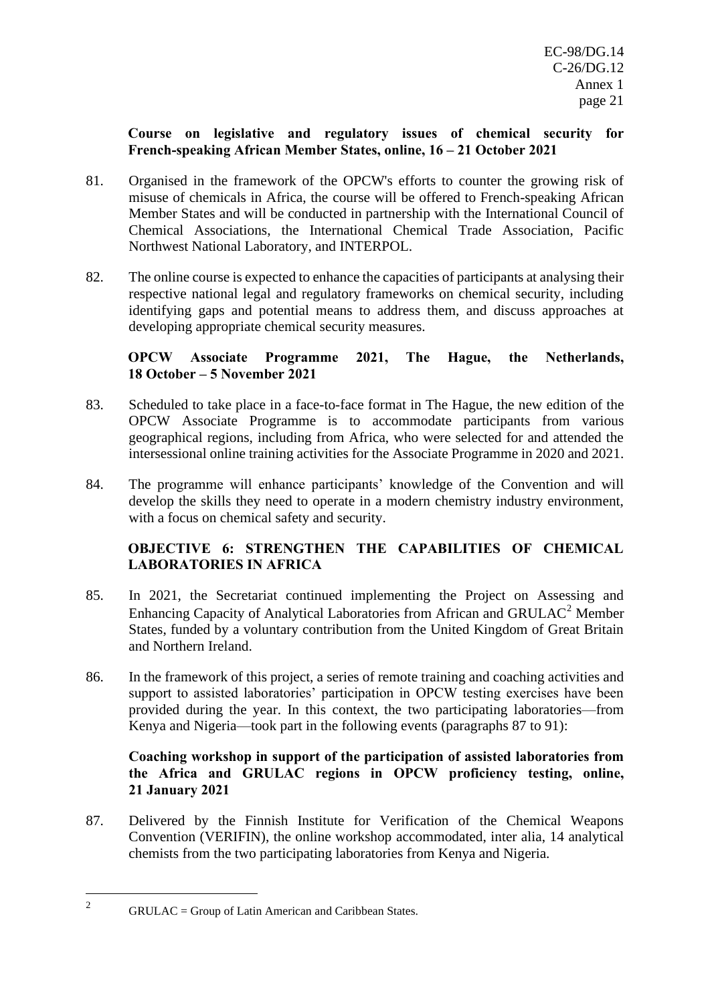# **Course on legislative and regulatory issues of chemical security for French-speaking African Member States, online, 16 – 21 October 2021**

- 81. Organised in the framework of the OPCW's efforts to counter the growing risk of misuse of chemicals in Africa, the course will be offered to French-speaking African Member States and will be conducted in partnership with the International Council of Chemical Associations, the International Chemical Trade Association, Pacific Northwest National Laboratory, and INTERPOL.
- 82. The online course is expected to enhance the capacities of participants at analysing their respective national legal and regulatory frameworks on chemical security, including identifying gaps and potential means to address them, and discuss approaches at developing appropriate chemical security measures.

# **OPCW Associate Programme 2021, The Hague, the Netherlands, 18 October – 5 November 2021**

- 83. Scheduled to take place in a face-to-face format in The Hague, the new edition of the OPCW Associate Programme is to accommodate participants from various geographical regions, including from Africa, who were selected for and attended the intersessional online training activities for the Associate Programme in 2020 and 2021.
- 84. The programme will enhance participants' knowledge of the Convention and will develop the skills they need to operate in a modern chemistry industry environment, with a focus on chemical safety and security.

# **OBJECTIVE 6: STRENGTHEN THE CAPABILITIES OF CHEMICAL LABORATORIES IN AFRICA**

- 85. In 2021, the Secretariat continued implementing the Project on Assessing and Enhancing Capacity of Analytical Laboratories from African and GRULAC<sup>2</sup> Member States, funded by a voluntary contribution from the United Kingdom of Great Britain and Northern Ireland.
- 86. In the framework of this project, a series of remote training and coaching activities and support to assisted laboratories' participation in OPCW testing exercises have been provided during the year. In this context, the two participating laboratories—from Kenya and Nigeria—took part in the following events (paragraphs 87 to 91):

#### **Coaching workshop in support of the participation of assisted laboratories from the Africa and GRULAC regions in OPCW proficiency testing, online, 21 January 2021**

87. Delivered by the Finnish Institute for Verification of the Chemical Weapons Convention (VERIFIN), the online workshop accommodated, inter alia, 14 analytical chemists from the two participating laboratories from Kenya and Nigeria.

<sup>2</sup> GRULAC = Group of Latin American and Caribbean States.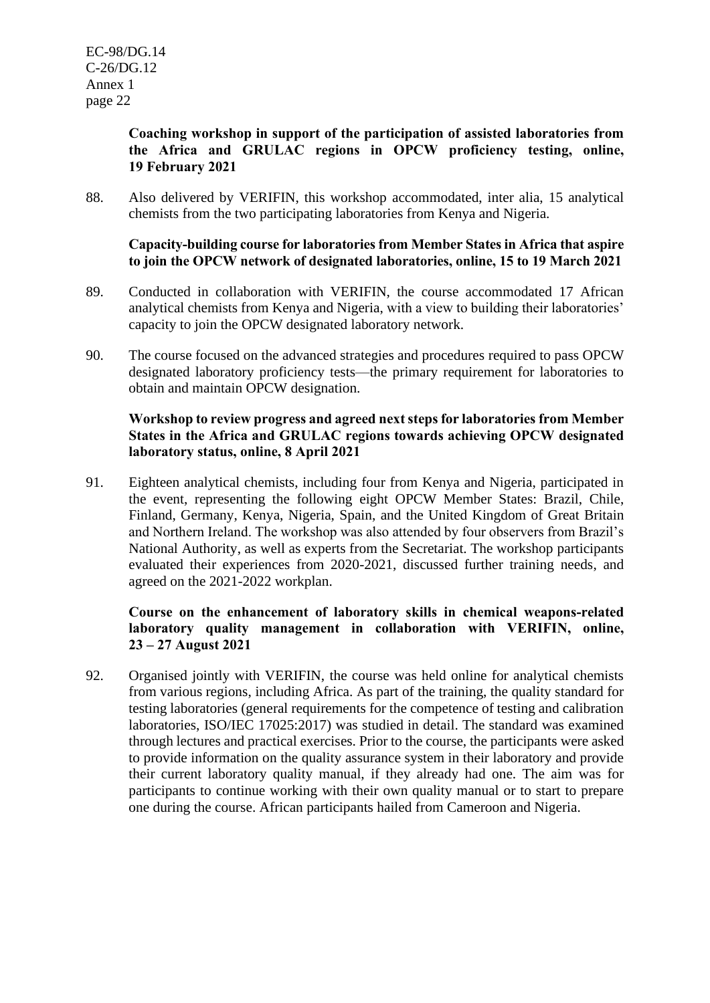# **Coaching workshop in support of the participation of assisted laboratories from the Africa and GRULAC regions in OPCW proficiency testing, online, 19 February 2021**

88. Also delivered by VERIFIN, this workshop accommodated, inter alia, 15 analytical chemists from the two participating laboratories from Kenya and Nigeria.

# **Capacity-building course for laboratories from Member States in Africa that aspire to join the OPCW network of designated laboratories, online, 15 to 19 March 2021**

- 89. Conducted in collaboration with VERIFIN, the course accommodated 17 African analytical chemists from Kenya and Nigeria, with a view to building their laboratories' capacity to join the OPCW designated laboratory network.
- 90. The course focused on the advanced strategies and procedures required to pass OPCW designated laboratory proficiency tests—the primary requirement for laboratories to obtain and maintain OPCW designation.

# **Workshop to review progress and agreed next steps for laboratories from Member States in the Africa and GRULAC regions towards achieving OPCW designated laboratory status, online, 8 April 2021**

91. Eighteen analytical chemists, including four from Kenya and Nigeria, participated in the event, representing the following eight OPCW Member States: Brazil, Chile, Finland, Germany, Kenya, Nigeria, Spain, and the United Kingdom of Great Britain and Northern Ireland. The workshop was also attended by four observers from Brazil's National Authority, as well as experts from the Secretariat. The workshop participants evaluated their experiences from 2020-2021, discussed further training needs, and agreed on the 2021-2022 workplan.

# **Course on the enhancement of laboratory skills in chemical weapons-related laboratory quality management in collaboration with VERIFIN, online, 23 – 27 August 2021**

92. Organised jointly with VERIFIN, the course was held online for analytical chemists from various regions, including Africa. As part of the training, the quality standard for testing laboratories (general requirements for the competence of testing and calibration laboratories, ISO/IEC 17025:2017) was studied in detail. The standard was examined through lectures and practical exercises. Prior to the course, the participants were asked to provide information on the quality assurance system in their laboratory and provide their current laboratory quality manual, if they already had one. The aim was for participants to continue working with their own quality manual or to start to prepare one during the course. African participants hailed from Cameroon and Nigeria.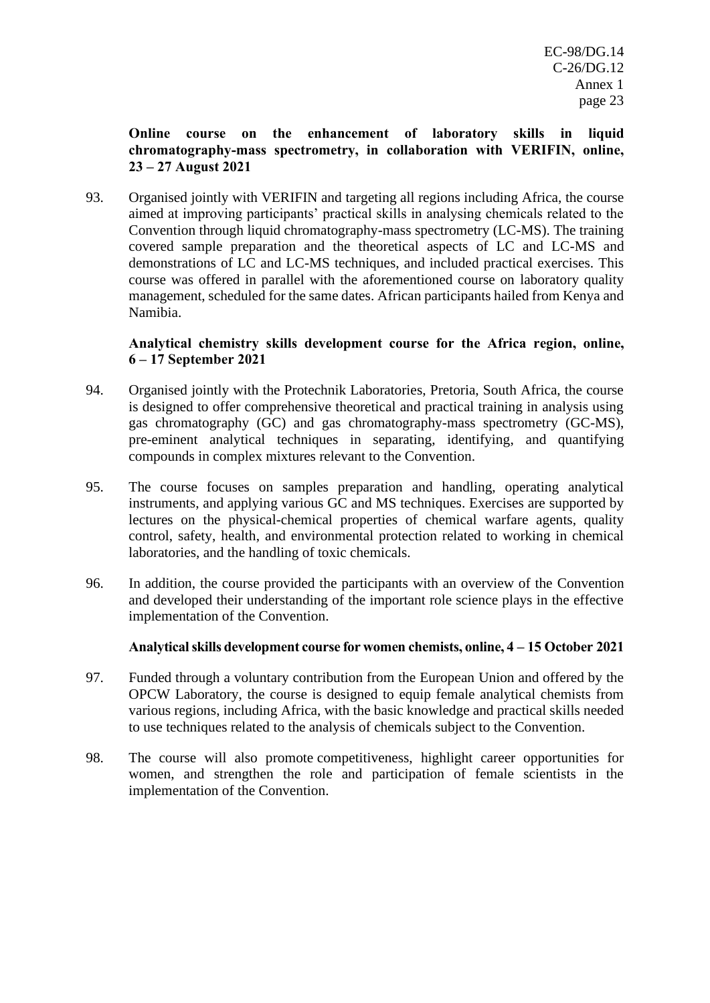# **Online course on the enhancement of laboratory skills in liquid chromatography-mass spectrometry, in collaboration with VERIFIN, online, 23 – 27 August 2021**

93. Organised jointly with VERIFIN and targeting all regions including Africa, the course aimed at improving participants' practical skills in analysing chemicals related to the Convention through liquid chromatography-mass spectrometry (LC-MS). The training covered sample preparation and the theoretical aspects of LC and LC-MS and demonstrations of LC and LC-MS techniques, and included practical exercises. This course was offered in parallel with the aforementioned course on laboratory quality management, scheduled for the same dates. African participants hailed from Kenya and Namibia.

# **Analytical chemistry skills development course for the Africa region, online, 6 – 17 September 2021**

- 94. Organised jointly with the Protechnik Laboratories, Pretoria, South Africa, the course is designed to offer comprehensive theoretical and practical training in analysis using gas chromatography (GC) and gas chromatography-mass spectrometry (GC-MS), pre-eminent analytical techniques in separating, identifying, and quantifying compounds in complex mixtures relevant to the Convention.
- 95. The course focuses on samples preparation and handling, operating analytical instruments, and applying various GC and MS techniques. Exercises are supported by lectures on the physical-chemical properties of chemical warfare agents, quality control, safety, health, and environmental protection related to working in chemical laboratories, and the handling of toxic chemicals.
- 96. In addition, the course provided the participants with an overview of the Convention and developed their understanding of the important role science plays in the effective implementation of the Convention.

# **Analytical skills development course for women chemists, online, 4 – 15 October 2021**

- 97. Funded through a voluntary contribution from the European Union and offered by the OPCW Laboratory, the course is designed to equip female analytical chemists from various regions, including Africa, with the basic knowledge and practical skills needed to use techniques related to the analysis of chemicals subject to the Convention.
- 98. The course will also promote competitiveness, highlight career opportunities for women, and strengthen the role and participation of female scientists in the implementation of the Convention.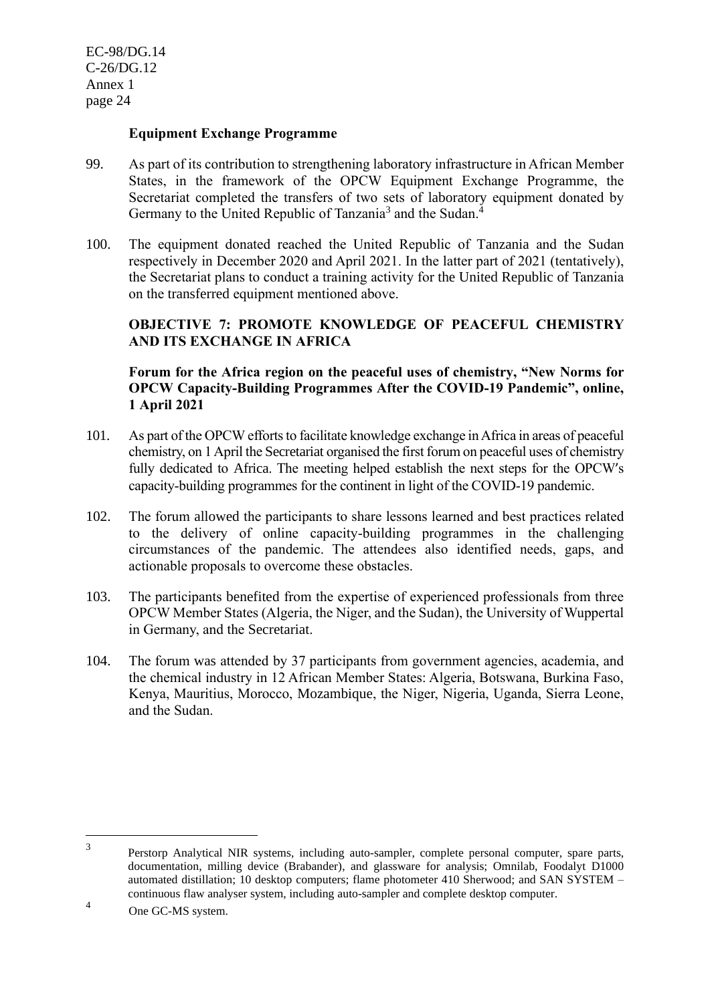#### **Equipment Exchange Programme**

- 99. As part of its contribution to strengthening laboratory infrastructure in African Member States, in the framework of the OPCW Equipment Exchange Programme, the Secretariat completed the transfers of two sets of laboratory equipment donated by Germany to the United Republic of Tanzania<sup>3</sup> and the Sudan.<sup>4</sup>
- 100. The equipment donated reached the United Republic of Tanzania and the Sudan respectively in December 2020 and April 2021. In the latter part of 2021 (tentatively), the Secretariat plans to conduct a training activity for the United Republic of Tanzania on the transferred equipment mentioned above.

# **OBJECTIVE 7: PROMOTE KNOWLEDGE OF PEACEFUL CHEMISTRY AND ITS EXCHANGE IN AFRICA**

# **Forum for the Africa region on the peaceful uses of chemistry, "New Norms for OPCW Capacity-Building Programmes After the COVID-19 Pandemic", online, 1 April 2021**

- 101. As part of the OPCW efforts to facilitate knowledge exchange in Africa in areas of peaceful chemistry, on 1 April the Secretariat organised the first forum on peaceful uses of chemistry fully dedicated to Africa. The meeting helped establish the next steps for the OPCW's capacity-building programmes for the continent in light of the COVID-19 pandemic.
- 102. The forum allowed the participants to share lessons learned and best practices related to the delivery of online capacity-building programmes in the challenging circumstances of the pandemic. The attendees also identified needs, gaps, and actionable proposals to overcome these obstacles.
- 103. The participants benefited from the expertise of experienced professionals from three OPCW Member States (Algeria, the Niger, and the Sudan), the University of Wuppertal in Germany, and the Secretariat.
- 104. The forum was attended by 37 participants from government agencies, academia, and the chemical industry in 12 African Member States: Algeria, Botswana, Burkina Faso, Kenya, Mauritius, Morocco, Mozambique, the Niger, Nigeria, Uganda, Sierra Leone, and the Sudan.

<sup>3</sup> Perstorp Analytical NIR systems, including auto-sampler, complete personal computer, spare parts, documentation, milling device (Brabander), and glassware for analysis; Omnilab, Foodalyt D1000 automated distillation; 10 desktop computers; flame photometer 410 Sherwood; and SAN SYSTEM – continuous flaw analyser system, including auto-sampler and complete desktop computer.

<sup>4</sup> One GC-MS system.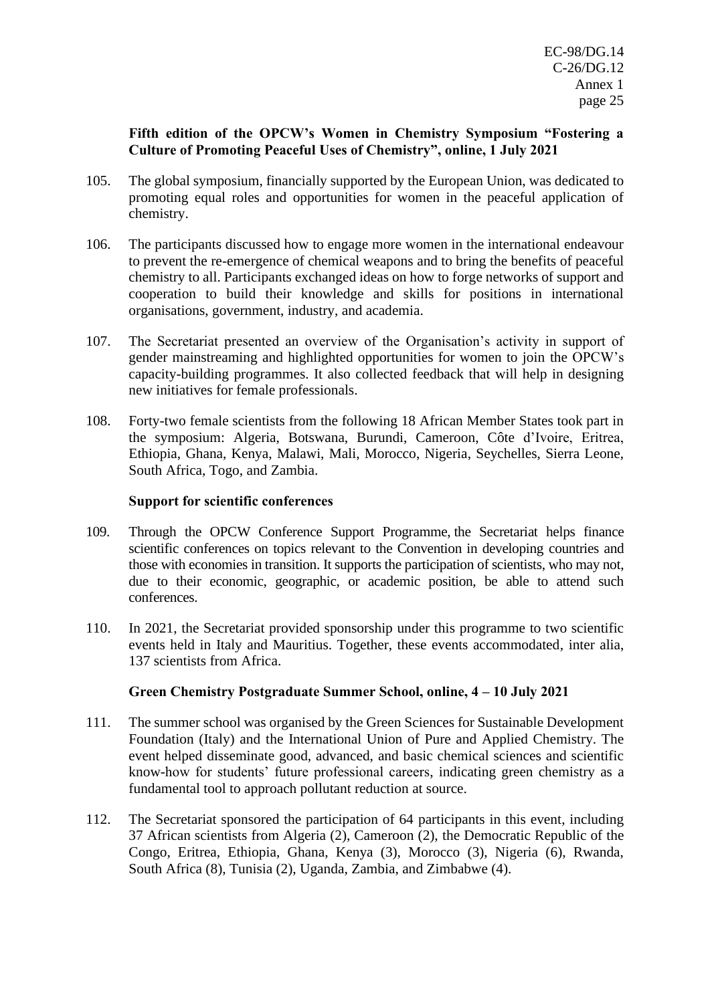# **Fifth edition of the OPCW's Women in Chemistry Symposium "Fostering a Culture of Promoting Peaceful Uses of Chemistry", online, 1 July 2021**

- 105. The global symposium, financially supported by the European Union, was dedicated to promoting equal roles and opportunities for women in the peaceful application of chemistry.
- 106. The participants discussed how to engage more women in the international endeavour to prevent the re-emergence of chemical weapons and to bring the benefits of peaceful chemistry to all. Participants exchanged ideas on how to forge networks of support and cooperation to build their knowledge and skills for positions in international organisations, government, industry, and academia.
- 107. The Secretariat presented an overview of the Organisation's activity in support of gender mainstreaming and highlighted opportunities for women to join the OPCW's capacity-building programmes. It also collected feedback that will help in designing new initiatives for female professionals.
- 108. Forty-two female scientists from the following 18 African Member States took part in the symposium: Algeria, Botswana, Burundi, Cameroon, Côte d'Ivoire, Eritrea, Ethiopia, Ghana, Kenya, Malawi, Mali, Morocco, Nigeria, Seychelles, Sierra Leone, South Africa, Togo, and Zambia.

#### **Support for scientific conferences**

- 109. Through the OPCW Conference Support Programme, the Secretariat helps finance scientific conferences on topics relevant to the Convention in developing countries and those with economies in transition. It supports the participation of scientists, who may not, due to their economic, geographic, or academic position, be able to attend such conferences.
- 110. In 2021, the Secretariat provided sponsorship under this programme to two scientific events held in Italy and Mauritius. Together, these events accommodated, inter alia, 137 scientists from Africa.

# **Green Chemistry Postgraduate Summer School, online, 4 – 10 July 2021**

- 111. The summer school was organised by the Green Sciences for Sustainable Development Foundation (Italy) and the International Union of Pure and Applied Chemistry. The event helped disseminate good, advanced, and basic chemical sciences and scientific know-how for students' future professional careers, indicating green chemistry as a fundamental tool to approach pollutant reduction at source.
- 112. The Secretariat sponsored the participation of 64 participants in this event, including 37 African scientists from Algeria (2), Cameroon (2), the Democratic Republic of the Congo, Eritrea, Ethiopia, Ghana, Kenya (3), Morocco (3), Nigeria (6), Rwanda, South Africa (8), Tunisia (2), Uganda, Zambia, and Zimbabwe (4).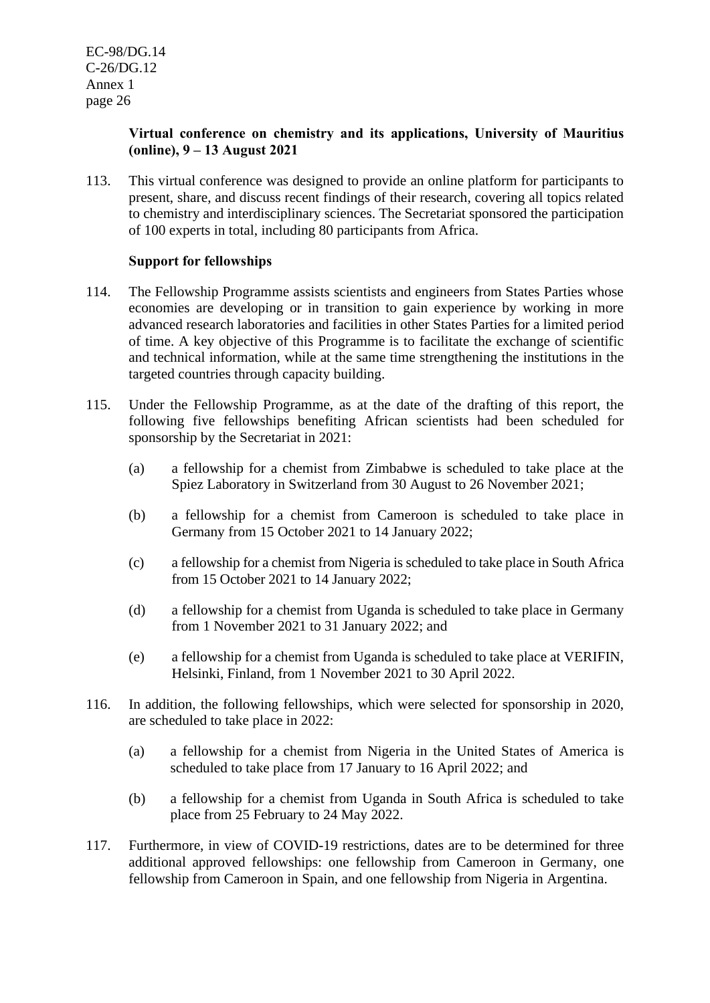# **Virtual conference on chemistry and its applications, University of Mauritius (online), 9 – 13 August 2021**

113. This virtual conference was designed to provide an online platform for participants to present, share, and discuss recent findings of their research, covering all topics related to chemistry and interdisciplinary sciences. The Secretariat sponsored the participation of 100 experts in total, including 80 participants from Africa.

# **Support for fellowships**

- 114. The Fellowship Programme assists scientists and engineers from States Parties whose economies are developing or in transition to gain experience by working in more advanced research laboratories and facilities in other States Parties for a limited period of time. A key objective of this Programme is to facilitate the exchange of scientific and technical information, while at the same time strengthening the institutions in the targeted countries through capacity building.
- 115. Under the Fellowship Programme, as at the date of the drafting of this report, the following five fellowships benefiting African scientists had been scheduled for sponsorship by the Secretariat in 2021:
	- (a) a fellowship for a chemist from Zimbabwe is scheduled to take place at the Spiez Laboratory in Switzerland from 30 August to 26 November 2021;
	- (b) a fellowship for a chemist from Cameroon is scheduled to take place in Germany from 15 October 2021 to 14 January 2022;
	- (c) a fellowship for a chemist from Nigeria is scheduled to take place in South Africa from 15 October 2021 to 14 January 2022;
	- (d) a fellowship for a chemist from Uganda is scheduled to take place in Germany from 1 November 2021 to 31 January 2022; and
	- (e) a fellowship for a chemist from Uganda is scheduled to take place at VERIFIN, Helsinki, Finland, from 1 November 2021 to 30 April 2022.
- 116. In addition, the following fellowships, which were selected for sponsorship in 2020, are scheduled to take place in 2022:
	- (a) a fellowship for a chemist from Nigeria in the United States of America is scheduled to take place from 17 January to 16 April 2022; and
	- (b) a fellowship for a chemist from Uganda in South Africa is scheduled to take place from 25 February to 24 May 2022.
- 117. Furthermore, in view of COVID-19 restrictions, dates are to be determined for three additional approved fellowships: one fellowship from Cameroon in Germany, one fellowship from Cameroon in Spain, and one fellowship from Nigeria in Argentina.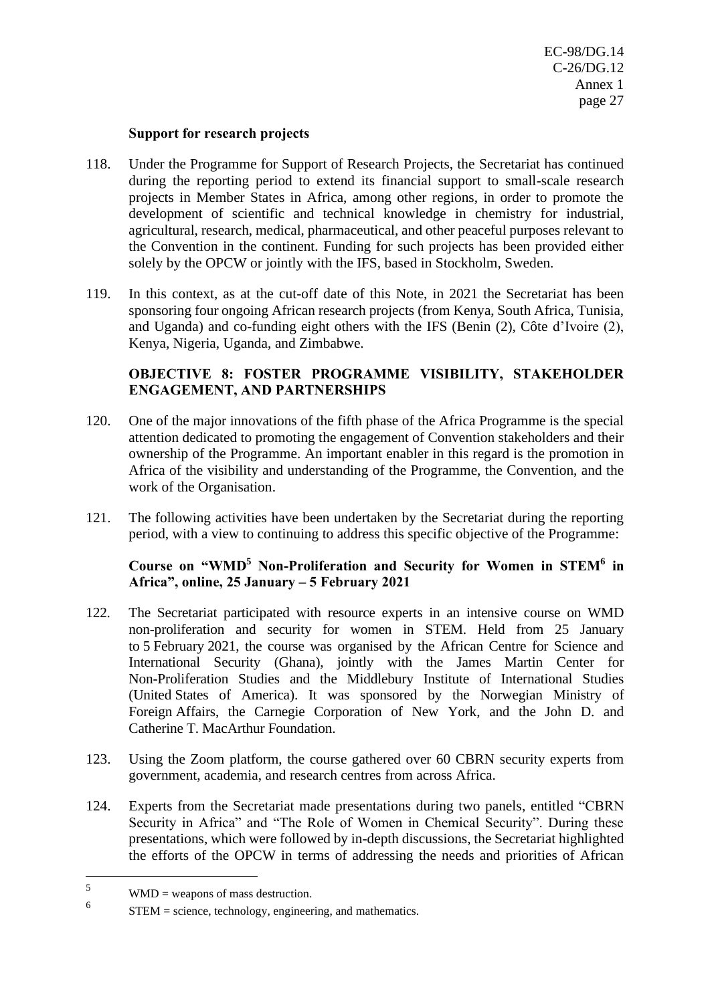#### **Support for research projects**

- 118. Under the Programme for Support of Research Projects, the Secretariat has continued during the reporting period to extend its financial support to small-scale research projects in Member States in Africa, among other regions, in order to promote the development of scientific and technical knowledge in chemistry for industrial, agricultural, research, medical, pharmaceutical, and other peaceful purposes relevant to the Convention in the continent. Funding for such projects has been provided either solely by the OPCW or jointly with the IFS, based in Stockholm, Sweden.
- 119. In this context, as at the cut-off date of this Note, in 2021 the Secretariat has been sponsoring four ongoing African research projects (from Kenya, South Africa, Tunisia, and Uganda) and co-funding eight others with the IFS (Benin (2), Côte d'Ivoire (2), Kenya, Nigeria, Uganda, and Zimbabwe.

# **OBJECTIVE 8: FOSTER PROGRAMME VISIBILITY, STAKEHOLDER ENGAGEMENT, AND PARTNERSHIPS**

- 120. One of the major innovations of the fifth phase of the Africa Programme is the special attention dedicated to promoting the engagement of Convention stakeholders and their ownership of the Programme. An important enabler in this regard is the promotion in Africa of the visibility and understanding of the Programme, the Convention, and the work of the Organisation.
- 121. The following activities have been undertaken by the Secretariat during the reporting period, with a view to continuing to address this specific objective of the Programme:

# **Course on "WMD<sup>5</sup> Non-Proliferation and Security for Women in STEM<sup>6</sup> in Africa", online, 25 January – 5 February 2021**

- 122. The Secretariat participated with resource experts in an intensive course on WMD non-proliferation and security for women in STEM. Held from 25 January to 5 February 2021, the course was organised by the African Centre for Science and International Security (Ghana), jointly with the James Martin Center for Non-Proliferation Studies and the Middlebury Institute of International Studies (United States of America). It was sponsored by the Norwegian Ministry of Foreign Affairs, the Carnegie Corporation of New York, and the John D. and Catherine T. MacArthur Foundation.
- 123. Using the Zoom platform, the course gathered over 60 CBRN security experts from government, academia, and research centres from across Africa.
- 124. Experts from the Secretariat made presentations during two panels, entitled "CBRN Security in Africa" and "The Role of Women in Chemical Security". During these presentations, which were followed by in-depth discussions, the Secretariat highlighted the efforts of the OPCW in terms of addressing the needs and priorities of African

 $5$  WMD = weapons of mass destruction.

<sup>6</sup> STEM = science, technology, engineering, and mathematics.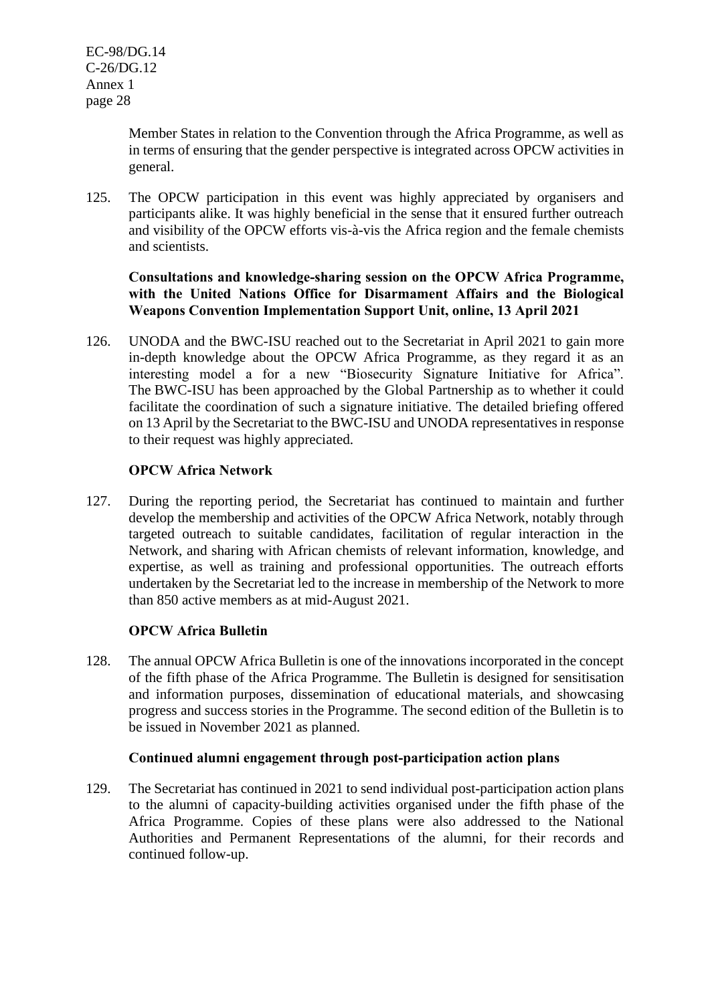Member States in relation to the Convention through the Africa Programme, as well as in terms of ensuring that the gender perspective is integrated across OPCW activities in general.

125. The OPCW participation in this event was highly appreciated by organisers and participants alike. It was highly beneficial in the sense that it ensured further outreach and visibility of the OPCW efforts vis-à-vis the Africa region and the female chemists and scientists.

# **Consultations and knowledge-sharing session on the OPCW Africa Programme, with the United Nations Office for Disarmament Affairs and the Biological Weapons Convention Implementation Support Unit, online, 13 April 2021**

126. UNODA and the BWC-ISU reached out to the Secretariat in April 2021 to gain more in-depth knowledge about the OPCW Africa Programme, as they regard it as an interesting model a for a new "Biosecurity Signature Initiative for Africa". The BWC-ISU has been approached by the Global Partnership as to whether it could facilitate the coordination of such a signature initiative. The detailed briefing offered on 13 April by the Secretariat to the BWC-ISU and UNODA representatives in response to their request was highly appreciated.

# **OPCW Africa Network**

127. During the reporting period, the Secretariat has continued to maintain and further develop the membership and activities of the OPCW Africa Network, notably through targeted outreach to suitable candidates, facilitation of regular interaction in the Network, and sharing with African chemists of relevant information, knowledge, and expertise, as well as training and professional opportunities. The outreach efforts undertaken by the Secretariat led to the increase in membership of the Network to more than 850 active members as at mid-August 2021.

# **OPCW Africa Bulletin**

128. The annual OPCW Africa Bulletin is one of the innovations incorporated in the concept of the fifth phase of the Africa Programme. The Bulletin is designed for sensitisation and information purposes, dissemination of educational materials, and showcasing progress and success stories in the Programme. The second edition of the Bulletin is to be issued in November 2021 as planned.

# **Continued alumni engagement through post-participation action plans**

129. The Secretariat has continued in 2021 to send individual post-participation action plans to the alumni of capacity-building activities organised under the fifth phase of the Africa Programme. Copies of these plans were also addressed to the National Authorities and Permanent Representations of the alumni, for their records and continued follow-up.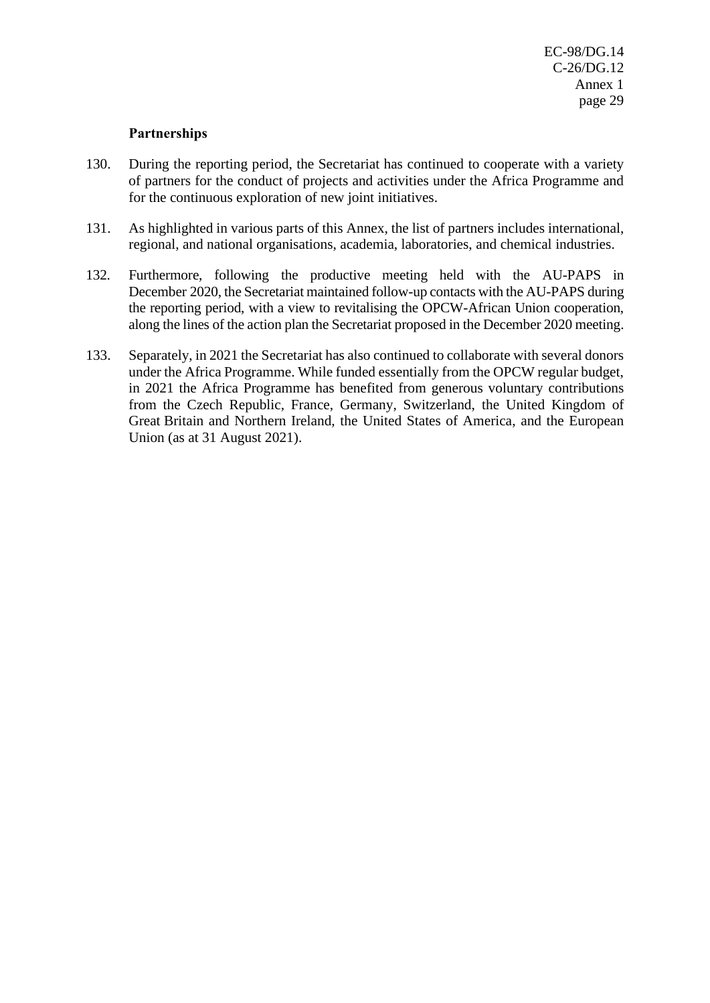#### **Partnerships**

- 130. During the reporting period, the Secretariat has continued to cooperate with a variety of partners for the conduct of projects and activities under the Africa Programme and for the continuous exploration of new joint initiatives.
- 131. As highlighted in various parts of this Annex, the list of partners includes international, regional, and national organisations, academia, laboratories, and chemical industries.
- 132. Furthermore, following the productive meeting held with the AU-PAPS in December 2020, the Secretariat maintained follow-up contacts with the AU-PAPS during the reporting period, with a view to revitalising the OPCW-African Union cooperation, along the lines of the action plan the Secretariat proposed in the December 2020 meeting.
- 133. Separately, in 2021 the Secretariat has also continued to collaborate with several donors under the Africa Programme. While funded essentially from the OPCW regular budget, in 2021 the Africa Programme has benefited from generous voluntary contributions from the Czech Republic, France, Germany, Switzerland, the United Kingdom of Great Britain and Northern Ireland, the United States of America, and the European Union (as at 31 August 2021).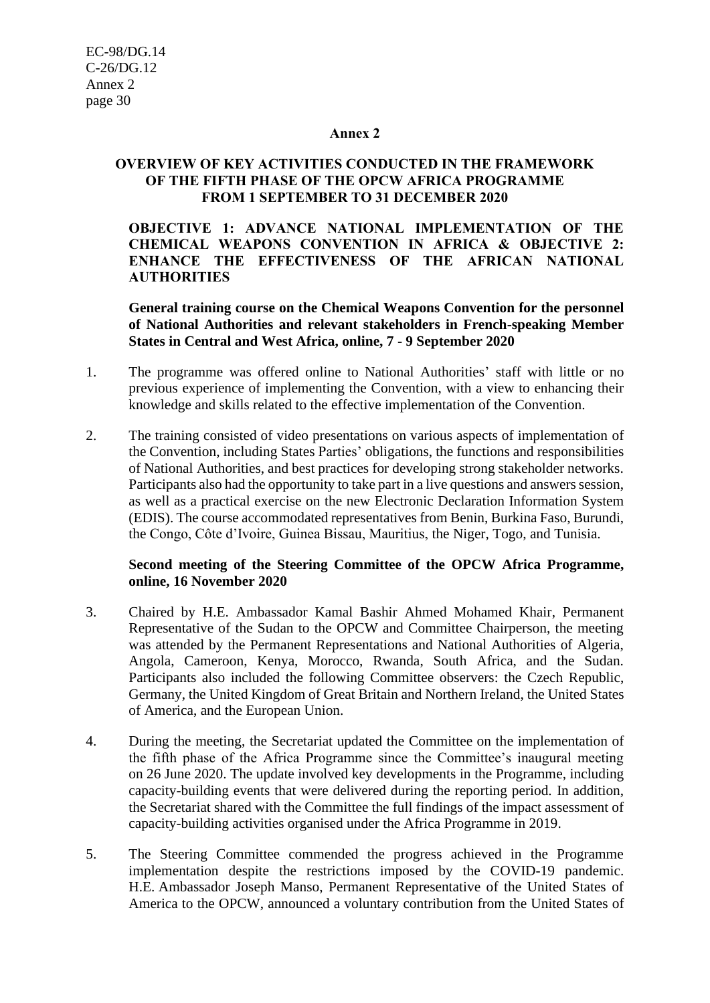#### **Annex 2**

## **OVERVIEW OF KEY ACTIVITIES CONDUCTED IN THE FRAMEWORK OF THE FIFTH PHASE OF THE OPCW AFRICA PROGRAMME FROM 1 SEPTEMBER TO 31 DECEMBER 2020**

**OBJECTIVE 1: ADVANCE NATIONAL IMPLEMENTATION OF THE CHEMICAL WEAPONS CONVENTION IN AFRICA & OBJECTIVE 2: ENHANCE THE EFFECTIVENESS OF THE AFRICAN NATIONAL AUTHORITIES**

**General training course on the Chemical Weapons Convention for the personnel of National Authorities and relevant stakeholders in French-speaking Member States in Central and West Africa, online, 7 - 9 September 2020**

- 1. The programme was offered online to National Authorities' staff with little or no previous experience of implementing the Convention, with a view to enhancing their knowledge and skills related to the effective implementation of the Convention.
- 2. The training consisted of video presentations on various aspects of implementation of the Convention, including States Parties' obligations, the functions and responsibilities of National Authorities, and best practices for developing strong stakeholder networks. Participants also had the opportunity to take part in a live questions and answers session, as well as a practical exercise on the new Electronic Declaration Information System (EDIS). The course accommodated representatives from Benin, Burkina Faso, Burundi, the Congo, Côte d'Ivoire, Guinea Bissau, Mauritius, the Niger, Togo, and Tunisia.

#### **Second meeting of the Steering Committee of the OPCW Africa Programme, online, 16 November 2020**

- 3. Chaired by H.E. Ambassador Kamal Bashir Ahmed Mohamed Khair, Permanent Representative of the Sudan to the OPCW and Committee Chairperson, the meeting was attended by the Permanent Representations and National Authorities of Algeria. Angola, Cameroon, Kenya, Morocco, Rwanda, South Africa, and the Sudan. Participants also included the following Committee observers: the Czech Republic, Germany, the United Kingdom of Great Britain and Northern Ireland, the United States of America, and the European Union.
- 4. During the meeting, the Secretariat updated the Committee on the implementation of the fifth phase of the Africa Programme since the Committee's inaugural meeting on 26 June 2020. The update involved key developments in the Programme, including capacity-building events that were delivered during the reporting period. In addition, the Secretariat shared with the Committee the full findings of the impact assessment of capacity-building activities organised under the Africa Programme in 2019.
- 5. The Steering Committee commended the progress achieved in the Programme implementation despite the restrictions imposed by the COVID-19 pandemic. H.E. Ambassador Joseph Manso, Permanent Representative of the United States of America to the OPCW, announced a voluntary contribution from the United States of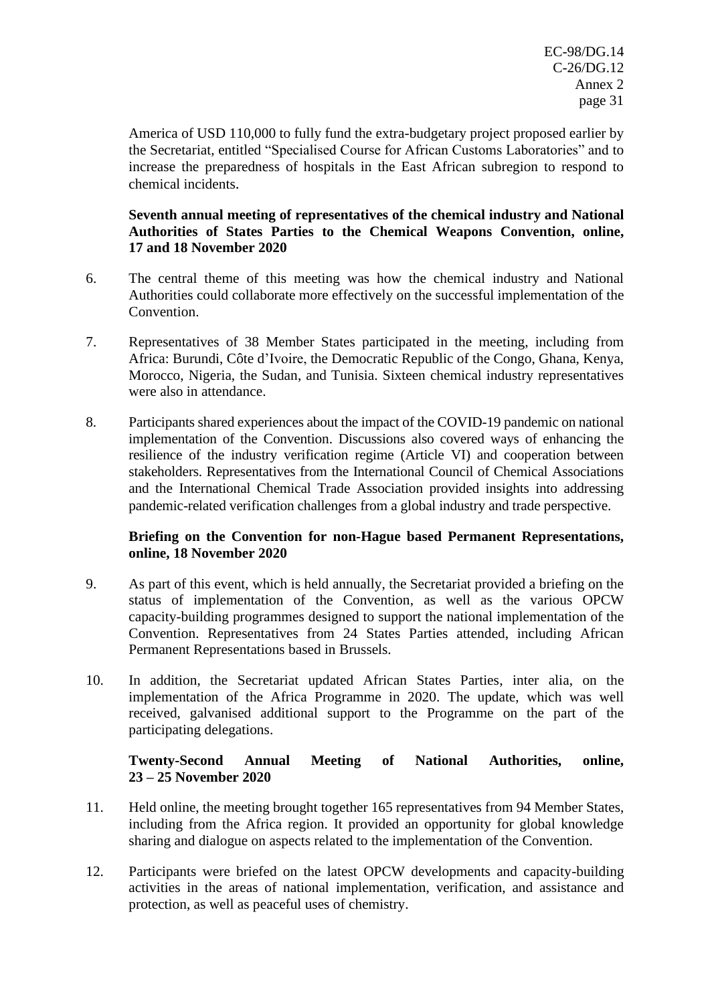America of USD 110,000 to fully fund the extra-budgetary project proposed earlier by the Secretariat, entitled "Specialised Course for African Customs Laboratories" and to increase the preparedness of hospitals in the East African subregion to respond to chemical incidents.

# **Seventh annual meeting of representatives of the chemical industry and National Authorities of States Parties to the Chemical Weapons Convention, online, 17 and 18 November 2020**

- 6. The central theme of this meeting was how the chemical industry and National Authorities could collaborate more effectively on the successful implementation of the Convention.
- 7. Representatives of 38 Member States participated in the meeting, including from Africa: Burundi, Côte d'Ivoire, the Democratic Republic of the Congo, Ghana, Kenya, Morocco, Nigeria, the Sudan, and Tunisia. Sixteen chemical industry representatives were also in attendance.
- 8. Participants shared experiences about the impact of the COVID-19 pandemic on national implementation of the Convention. Discussions also covered ways of enhancing the resilience of the industry verification regime (Article VI) and cooperation between stakeholders. Representatives from the International Council of Chemical Associations and the International Chemical Trade Association provided insights into addressing pandemic-related verification challenges from a global industry and trade perspective.

# **Briefing on the Convention for non-Hague based Permanent Representations, online, 18 November 2020**

- 9. As part of this event, which is held annually, the Secretariat provided a briefing on the status of implementation of the Convention, as well as the various OPCW capacity-building programmes designed to support the national implementation of the Convention. Representatives from 24 States Parties attended, including African Permanent Representations based in Brussels.
- 10. In addition, the Secretariat updated African States Parties, inter alia, on the implementation of the Africa Programme in 2020. The update, which was well received, galvanised additional support to the Programme on the part of the participating delegations.

# **Twenty-Second Annual Meeting of National Authorities, online, 23 – 25 November 2020**

- 11. Held online, the meeting brought together 165 representatives from 94 Member States, including from the Africa region. It provided an opportunity for global knowledge sharing and dialogue on aspects related to the implementation of the Convention.
- 12. Participants were briefed on the latest OPCW developments and capacity-building activities in the areas of national implementation, verification, and assistance and protection, as well as peaceful uses of chemistry.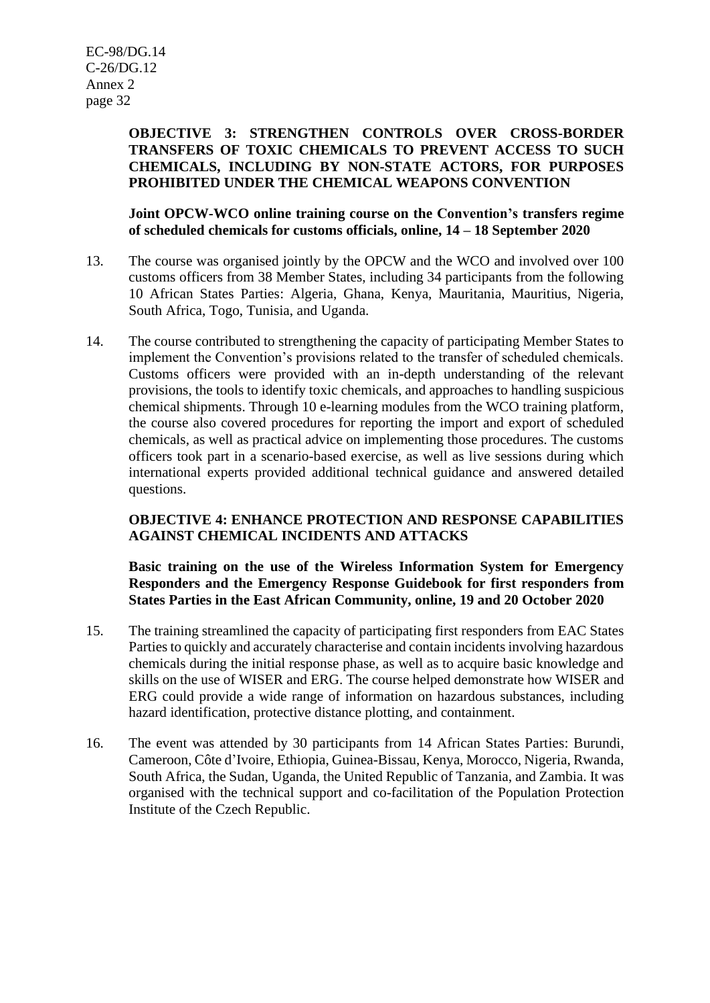# **OBJECTIVE 3: STRENGTHEN CONTROLS OVER CROSS-BORDER TRANSFERS OF TOXIC CHEMICALS TO PREVENT ACCESS TO SUCH CHEMICALS, INCLUDING BY NON-STATE ACTORS, FOR PURPOSES PROHIBITED UNDER THE CHEMICAL WEAPONS CONVENTION**

**Joint OPCW-WCO online training course on the Convention's transfers regime of scheduled chemicals for customs officials, online, 14 – 18 September 2020**

- 13. The course was organised jointly by the OPCW and the WCO and involved over 100 customs officers from 38 Member States, including 34 participants from the following 10 African States Parties: Algeria, Ghana, Kenya, Mauritania, Mauritius, Nigeria, South Africa, Togo, Tunisia, and Uganda.
- 14. The course contributed to strengthening the capacity of participating Member States to implement the Convention's provisions related to the transfer of scheduled chemicals. Customs officers were provided with an in-depth understanding of the relevant provisions, the tools to identify toxic chemicals, and approaches to handling suspicious chemical shipments. Through 10 e-learning modules from the WCO training platform, the course also covered procedures for reporting the import and export of scheduled chemicals, as well as practical advice on implementing those procedures. The customs officers took part in a scenario-based exercise, as well as live sessions during which international experts provided additional technical guidance and answered detailed questions.

# **OBJECTIVE 4: ENHANCE PROTECTION AND RESPONSE CAPABILITIES AGAINST CHEMICAL INCIDENTS AND ATTACKS**

**Basic training on the use of the Wireless Information System for Emergency Responders and the Emergency Response Guidebook for first responders from States Parties in the East African Community, online, 19 and 20 October 2020**

- 15. The training streamlined the capacity of participating first responders from EAC States Parties to quickly and accurately characterise and contain incidents involving hazardous chemicals during the initial response phase, as well as to acquire basic knowledge and skills on the use of WISER and ERG. The course helped demonstrate how WISER and ERG could provide a wide range of information on hazardous substances, including hazard identification, protective distance plotting, and containment.
- 16. The event was attended by 30 participants from 14 African States Parties: Burundi, Cameroon, Côte d'Ivoire, Ethiopia, Guinea-Bissau, Kenya, Morocco, Nigeria, Rwanda, South Africa, the Sudan, Uganda, the United Republic of Tanzania, and Zambia. It was organised with the technical support and co-facilitation of the Population Protection Institute of the Czech Republic.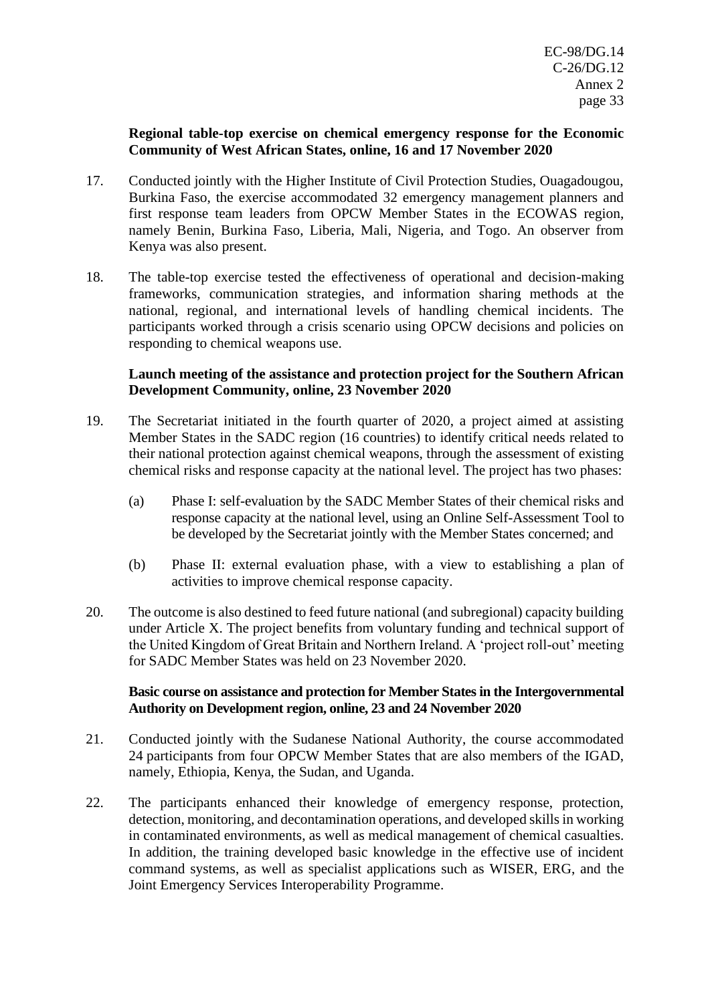#### **Regional table-top exercise on chemical emergency response for the Economic Community of West African States, online, 16 and 17 November 2020**

- 17. Conducted jointly with the Higher Institute of Civil Protection Studies, Ouagadougou, Burkina Faso, the exercise accommodated 32 emergency management planners and first response team leaders from OPCW Member States in the ECOWAS region, namely Benin, Burkina Faso, Liberia, Mali, Nigeria, and Togo. An observer from Kenya was also present.
- 18. The table-top exercise tested the effectiveness of operational and decision-making frameworks, communication strategies, and information sharing methods at the national, regional, and international levels of handling chemical incidents. The participants worked through a crisis scenario using OPCW decisions and policies on responding to chemical weapons use.

#### **Launch meeting of the assistance and protection project for the Southern African Development Community, online, 23 November 2020**

- 19. The Secretariat initiated in the fourth quarter of 2020, a project aimed at assisting Member States in the SADC region (16 countries) to identify critical needs related to their national protection against chemical weapons, through the assessment of existing chemical risks and response capacity at the national level. The project has two phases:
	- (a) Phase I: self-evaluation by the SADC Member States of their chemical risks and response capacity at the national level, using an Online Self-Assessment Tool to be developed by the Secretariat jointly with the Member States concerned; and
	- (b) Phase II: external evaluation phase, with a view to establishing a plan of activities to improve chemical response capacity.
- 20. The outcome is also destined to feed future national (and subregional) capacity building under Article X. The project benefits from voluntary funding and technical support of the United Kingdom of Great Britain and Northern Ireland. A 'project roll-out' meeting for SADC Member States was held on 23 November 2020.

#### **Basic course on assistance and protection for Member States in the Intergovernmental Authority on Development region, online, 23 and 24 November 2020**

- 21. Conducted jointly with the Sudanese National Authority, the course accommodated 24 participants from four OPCW Member States that are also members of the IGAD, namely, Ethiopia, Kenya, the Sudan, and Uganda.
- 22. The participants enhanced their knowledge of emergency response, protection, detection, monitoring, and decontamination operations, and developed skills in working in contaminated environments, as well as medical management of chemical casualties. In addition, the training developed basic knowledge in the effective use of incident command systems, as well as specialist applications such as WISER, ERG, and the Joint Emergency Services Interoperability Programme.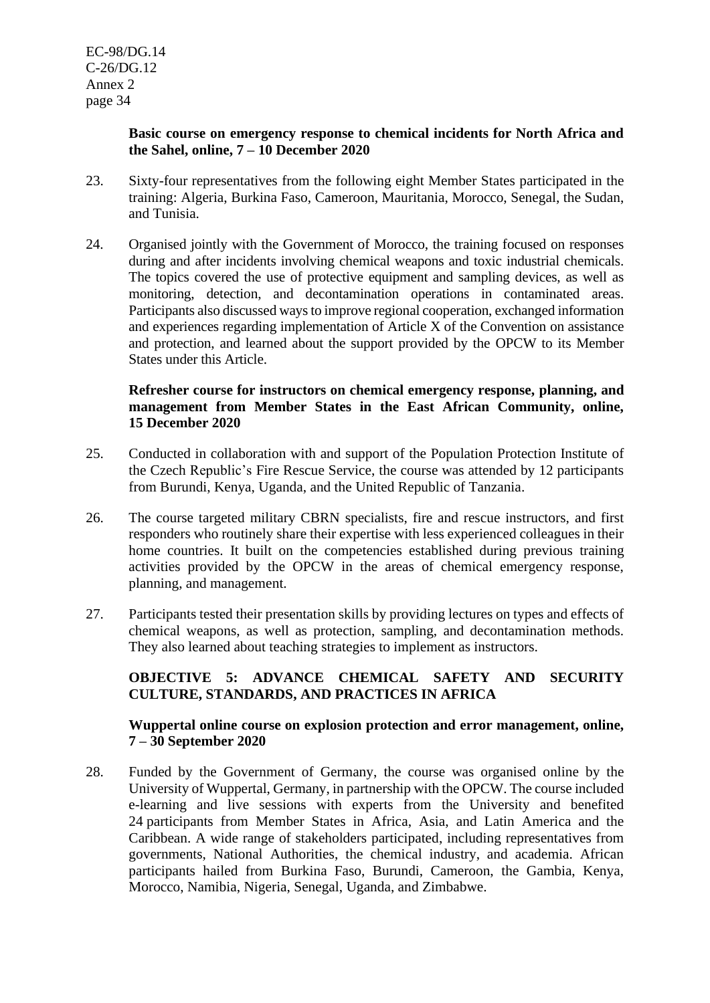#### **Basic course on emergency response to chemical incidents for North Africa and the Sahel, online, 7 – 10 December 2020**

- 23. Sixty-four representatives from the following eight Member States participated in the training: Algeria, Burkina Faso, Cameroon, Mauritania, Morocco, Senegal, the Sudan, and Tunisia.
- 24. Organised jointly with the Government of Morocco, the training focused on responses during and after incidents involving chemical weapons and toxic industrial chemicals. The topics covered the use of protective equipment and sampling devices, as well as monitoring, detection, and decontamination operations in contaminated areas. Participants also discussed ways to improve regional cooperation, exchanged information and experiences regarding implementation of Article X of the Convention on assistance and protection, and learned about the support provided by the OPCW to its Member States under this Article.

#### **Refresher course for instructors on chemical emergency response, planning, and management from Member States in the East African Community, online, 15 December 2020**

- 25. Conducted in collaboration with and support of the Population Protection Institute of the Czech Republic's Fire Rescue Service, the course was attended by 12 participants from Burundi, Kenya, Uganda, and the United Republic of Tanzania.
- 26. The course targeted military CBRN specialists, fire and rescue instructors, and first responders who routinely share their expertise with less experienced colleagues in their home countries. It built on the competencies established during previous training activities provided by the OPCW in the areas of chemical emergency response, planning, and management.
- 27. Participants tested their presentation skills by providing lectures on types and effects of chemical weapons, as well as protection, sampling, and decontamination methods. They also learned about teaching strategies to implement as instructors.

# **OBJECTIVE 5: ADVANCE CHEMICAL SAFETY AND SECURITY CULTURE, STANDARDS, AND PRACTICES IN AFRICA**

#### **Wuppertal online course on explosion protection and error management, online, 7 – 30 September 2020**

28. Funded by the Government of Germany, the course was organised online by the University of Wuppertal, Germany, in partnership with the OPCW. The course included e-learning and live sessions with experts from the University and benefited 24 participants from Member States in Africa, Asia, and Latin America and the Caribbean. A wide range of stakeholders participated, including representatives from governments, National Authorities, the chemical industry, and academia. African participants hailed from Burkina Faso, Burundi, Cameroon, the Gambia, Kenya, Morocco, Namibia, Nigeria, Senegal, Uganda, and Zimbabwe.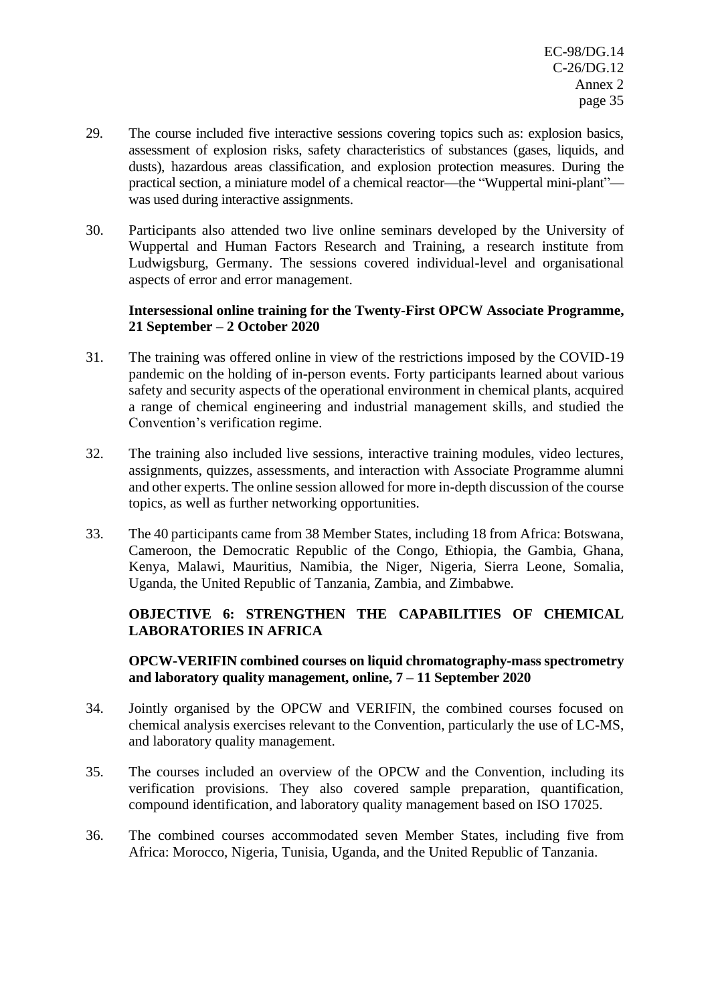- 29. The course included five interactive sessions covering topics such as: explosion basics, assessment of explosion risks, safety characteristics of substances (gases, liquids, and dusts), hazardous areas classification, and explosion protection measures. During the practical section, a miniature model of a chemical reactor—the "Wuppertal mini-plant" was used during interactive assignments.
- 30. Participants also attended two live online seminars developed by the University of Wuppertal and Human Factors Research and Training, a research institute from Ludwigsburg, Germany. The sessions covered individual-level and organisational aspects of error and error management.

# **Intersessional online training for the Twenty-First OPCW Associate Programme, 21 September – 2 October 2020**

- 31. The training was offered online in view of the restrictions imposed by the COVID-19 pandemic on the holding of in-person events. Forty participants learned about various safety and security aspects of the operational environment in chemical plants, acquired a range of chemical engineering and industrial management skills, and studied the Convention's verification regime.
- 32. The training also included live sessions, interactive training modules, video lectures, assignments, quizzes, assessments, and interaction with Associate Programme alumni and other experts. The online session allowed for more in-depth discussion of the course topics, as well as further networking opportunities.
- 33. The 40 participants came from 38 Member States, including 18 from Africa: Botswana, Cameroon, the Democratic Republic of the Congo, Ethiopia, the Gambia, Ghana, Kenya, Malawi, Mauritius, Namibia, the Niger, Nigeria, Sierra Leone, Somalia, Uganda, the United Republic of Tanzania, Zambia, and Zimbabwe.

# **OBJECTIVE 6: STRENGTHEN THE CAPABILITIES OF CHEMICAL LABORATORIES IN AFRICA**

# **OPCW-VERIFIN combined courses on liquid chromatography-mass spectrometry and laboratory quality management, online, 7 – 11 September 2020**

- 34. Jointly organised by the OPCW and VERIFIN, the combined courses focused on chemical analysis exercises relevant to the Convention, particularly the use of LC-MS, and laboratory quality management.
- 35. The courses included an overview of the OPCW and the Convention, including its verification provisions. They also covered sample preparation, quantification, compound identification, and laboratory quality management based on ISO 17025.
- 36. The combined courses accommodated seven Member States, including five from Africa: Morocco, Nigeria, Tunisia, Uganda, and the United Republic of Tanzania.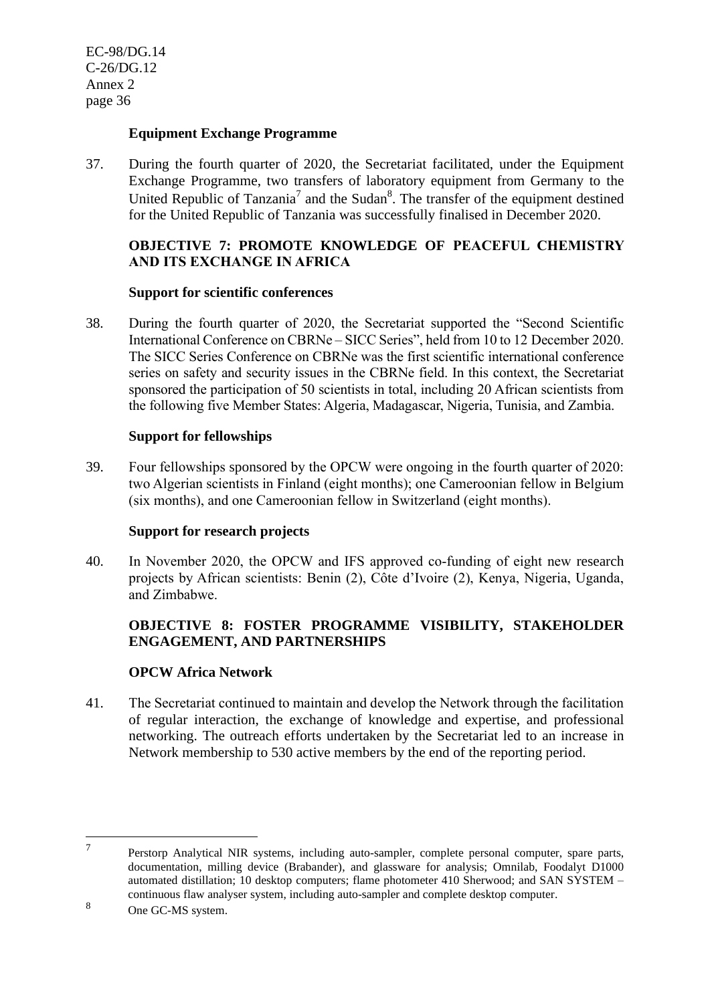#### **Equipment Exchange Programme**

37. During the fourth quarter of 2020, the Secretariat facilitated, under the Equipment Exchange Programme, two transfers of laboratory equipment from Germany to the United Republic of Tanzania<sup>7</sup> and the Sudan<sup>8</sup>. The transfer of the equipment destined for the United Republic of Tanzania was successfully finalised in December 2020.

# **OBJECTIVE 7: PROMOTE KNOWLEDGE OF PEACEFUL CHEMISTRY AND ITS EXCHANGE IN AFRICA**

#### **Support for scientific conferences**

38. During the fourth quarter of 2020, the Secretariat supported the "Second Scientific International Conference on CBRNe – SICC Series", held from 10 to 12 December 2020. The SICC Series Conference on CBRNe was the first scientific international conference series on safety and security issues in the CBRNe field. In this context, the Secretariat sponsored the participation of 50 scientists in total, including 20 African scientists from the following five Member States: Algeria, Madagascar, Nigeria, Tunisia, and Zambia.

#### **Support for fellowships**

39. Four fellowships sponsored by the OPCW were ongoing in the fourth quarter of 2020: two Algerian scientists in Finland (eight months); one Cameroonian fellow in Belgium (six months), and one Cameroonian fellow in Switzerland (eight months).

#### **Support for research projects**

40. In November 2020, the OPCW and IFS approved co-funding of eight new research projects by African scientists: Benin (2), Côte d'Ivoire (2), Kenya, Nigeria, Uganda, and Zimbabwe.

# **OBJECTIVE 8: FOSTER PROGRAMME VISIBILITY, STAKEHOLDER ENGAGEMENT, AND PARTNERSHIPS**

#### **OPCW Africa Network**

41. The Secretariat continued to maintain and develop the Network through the facilitation of regular interaction, the exchange of knowledge and expertise, and professional networking. The outreach efforts undertaken by the Secretariat led to an increase in Network membership to 530 active members by the end of the reporting period.

<sup>7</sup> Perstorp Analytical NIR systems, including auto-sampler, complete personal computer, spare parts, documentation, milling device (Brabander), and glassware for analysis; Omnilab, Foodalyt D1000 automated distillation; 10 desktop computers; flame photometer 410 Sherwood; and SAN SYSTEM – continuous flaw analyser system, including auto-sampler and complete desktop computer.

<sup>8</sup> One GC-MS system.